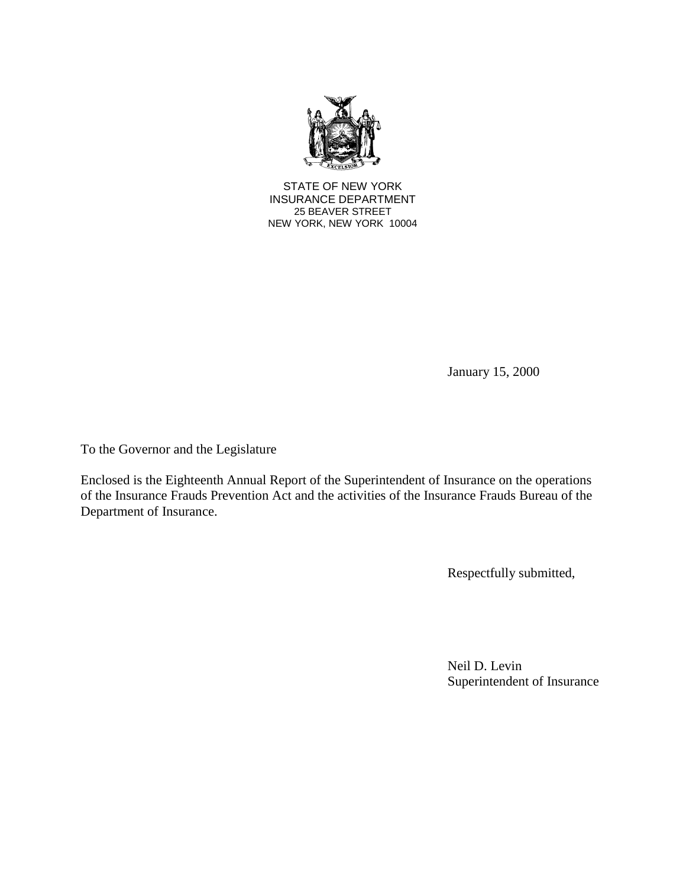

STATE OF NEW YORK INSURANCE DEPARTMENT 25 BEAVER STREET NEW YORK, NEW YORK 10004

January 15, 2000

To the Governor and the Legislature

 of the Insurance Frauds Prevention Act and the activities of the Insurance Frauds Bureau of the Enclosed is the Eighteenth Annual Report of the Superintendent of Insurance on the operations Department of Insurance.

Respectfully submitted,

Neil D. Levin Superintendent of Insurance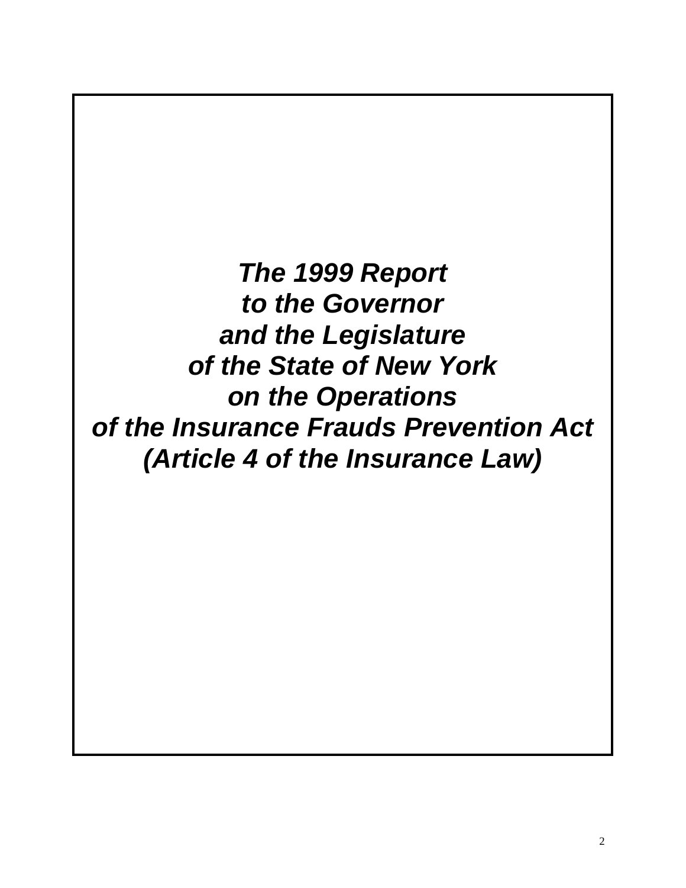*The 1999 Report to the Governor and the Legislature of the State of New York on the Operations of the Insurance Frauds Prevention Act (Article 4 of the Insurance Law)*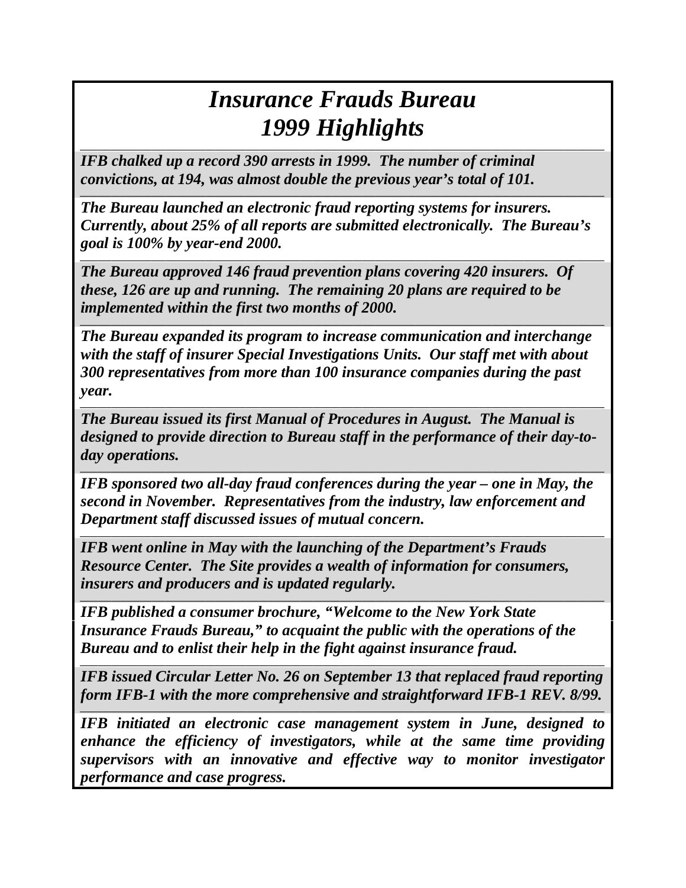# *Insurance Frauds Bureau 1999 Highlights \_\_\_\_\_\_\_\_\_\_\_\_\_\_\_\_\_\_\_\_\_\_\_\_\_\_\_\_\_\_\_\_\_\_\_\_\_\_\_\_\_\_\_\_\_\_\_\_\_\_\_\_\_\_\_\_\_\_\_\_\_\_\_\_\_\_\_\_\_\_\_\_\_\_\_\_\_\_\_\_\_\_\_\_\_\_\_\_\_\_\_\_\_\_\_\_\_\_\_\_\_\_\_\_\_\_\_\_\_\_\_\_\_\_\_\_\_*

*IFB chalked up a record 390 arrests in 1999. The number of criminal convictions, at 194, was almost double the previous year's total of 101.* 

 *Currently, about 25% of all reports are submitted electronically. The Bureau's goal is 100% by year-end 2000. The Bureau launched an electronic fraud reporting systems for insurers.* 

*\_\_\_\_\_\_\_\_\_\_\_\_\_\_\_\_\_\_\_\_\_\_\_\_\_\_\_\_\_\_\_\_\_\_\_\_\_\_\_\_\_\_\_\_\_\_\_\_\_\_\_\_\_\_\_\_\_\_\_\_\_\_\_\_\_\_\_\_\_\_\_\_\_\_\_\_\_\_\_\_\_\_\_\_\_\_\_\_\_\_\_\_\_\_\_\_\_\_\_\_\_\_\_\_\_\_\_\_\_\_\_\_\_\_\_\_\_* 

*\_\_\_\_\_\_\_\_\_\_\_\_\_\_\_\_\_\_\_\_\_\_\_\_\_\_\_\_\_\_\_\_\_\_\_\_\_\_\_\_\_\_\_\_\_\_\_\_\_\_\_\_\_\_\_\_\_\_\_\_\_\_\_\_\_\_\_\_\_\_\_\_\_\_\_\_\_\_\_\_\_\_\_\_\_\_\_\_\_\_\_\_\_\_\_\_\_\_\_\_\_\_\_\_\_\_\_\_\_\_\_\_\_\_\_\_\_* 

*\_\_\_\_\_\_\_\_\_\_\_\_\_\_\_\_\_\_\_\_\_\_\_\_\_\_\_\_\_\_\_\_\_\_\_\_\_\_\_\_\_\_\_\_\_\_\_\_\_\_\_\_\_\_\_\_\_\_\_\_\_\_\_\_\_\_\_\_\_\_\_\_\_\_\_\_\_\_\_\_\_\_\_\_\_\_\_\_\_\_\_\_\_\_\_\_\_\_\_\_\_\_\_\_\_\_\_\_\_\_\_\_\_\_\_\_\_* 

 *implemented within the first two months of 2000. The Bureau approved 146 fraud prevention plans covering 420 insurers. Of these, 126 are up and running. The remaining 20 plans are required to be* 

 *The Bureau expanded its program to increase communication and interchange with the staff of insurer Special Investigations Units. Our staff met with about 300 representatives from more than 100 insurance companies during the past year.* 

*The Bureau issued its first Manual of Procedures in August. The Manual is designed to provide direction to Bureau staff in the performance of their day-today operations.* 

*\_\_\_\_\_\_\_\_\_\_\_\_\_\_\_\_\_\_\_\_\_\_\_\_\_\_\_\_\_\_\_\_\_\_\_\_\_\_\_\_\_\_\_\_\_\_\_\_\_\_\_\_\_\_\_\_\_\_\_\_\_\_\_\_\_\_\_\_\_\_\_\_\_\_\_\_\_\_\_\_\_\_\_\_\_\_\_\_\_\_\_\_\_\_\_\_\_\_\_\_\_\_\_\_\_\_\_\_\_\_\_\_\_\_\_\_\_* 

*\_\_\_\_\_\_\_\_\_\_\_\_\_\_\_\_\_\_\_\_\_\_\_\_\_\_\_\_\_\_\_\_\_\_\_\_\_\_\_\_\_\_\_\_\_\_\_\_\_\_\_\_\_\_\_\_\_\_\_\_\_\_\_\_\_\_\_\_\_\_\_\_\_\_\_\_\_\_\_\_\_\_\_\_\_\_\_\_\_\_\_\_\_\_\_\_\_\_\_\_\_\_\_\_\_\_\_\_\_\_\_\_\_\_\_\_\_* 

*IFB sponsored two all-day fraud conferences during the year – one in May, the second in November. Representatives from the industry, law enforcement and Department staff discussed issues of mutual concern.* 

*\_\_\_\_\_\_\_\_\_\_\_\_\_\_\_\_\_\_\_\_\_\_\_\_\_\_\_\_\_\_\_\_\_\_\_\_\_\_\_\_\_\_\_\_\_\_\_\_\_\_\_\_\_\_\_\_\_\_\_\_\_\_\_\_\_\_\_\_\_\_\_\_\_\_\_\_\_\_\_\_\_\_\_\_\_\_\_\_\_\_\_\_\_\_\_\_\_\_\_\_\_\_\_\_\_\_\_\_\_\_\_\_\_\_\_\_\_* 

*\_\_\_\_\_\_\_\_\_\_\_\_\_\_\_\_\_\_\_\_\_\_\_\_\_\_\_\_\_\_\_\_\_\_\_\_\_\_\_\_\_\_\_\_\_\_\_\_\_\_\_\_\_\_\_\_\_\_\_\_\_\_\_\_\_\_\_\_\_\_\_\_\_\_\_\_\_\_\_\_\_\_\_\_\_\_\_\_\_\_\_\_\_\_\_\_\_\_\_\_\_\_\_\_\_\_\_\_\_\_\_\_\_\_\_\_\_* 

*IFB went online in May with the launching of the Department's Frauds Resource Center. The Site provides a wealth of information for consumers, insurers and producers and is updated regularly.* 

*IFB published a consumer brochure, "Welcome to the New York State Insurance Frauds Bureau," to acquaint the public with the operations of the Bureau and to enlist their help in the fight against insurance fraud.* 

*IFB issued Circular Letter No. 26 on September 13 that replaced fraud reporting form IFB-1 with the more comprehensive and straightforward IFB-1 REV. 8/99.* 

*\_\_\_\_\_\_\_\_\_\_\_\_\_\_\_\_\_\_\_\_\_\_\_\_\_\_\_\_\_\_\_\_\_\_\_\_\_\_\_\_\_\_\_\_\_\_\_\_\_\_\_\_\_\_\_\_\_\_\_\_\_\_\_\_\_\_\_\_\_\_\_\_\_\_\_\_\_\_\_\_\_\_\_\_\_\_\_\_\_\_\_\_\_\_\_\_\_\_\_\_\_\_\_\_\_\_\_\_\_\_\_\_\_\_\_\_\_* 

*\_\_\_\_\_\_\_\_\_\_\_\_\_\_\_\_\_\_\_\_\_\_\_\_\_\_\_\_\_\_\_\_\_\_\_\_\_\_\_\_\_\_\_\_\_\_\_\_\_\_\_\_\_\_\_\_\_\_\_\_\_\_\_\_\_\_\_\_\_\_\_\_\_\_\_\_\_\_\_\_\_\_\_\_\_\_\_\_\_\_\_\_\_\_\_\_\_\_\_\_\_\_\_\_\_\_\_\_\_\_\_\_\_\_\_\_\_* 

 *supervisors with an innovative and effective way to monitor investigator IFB initiated an electronic case management system in June, designed to enhance the efficiency of investigators, while at the same time providing performance and case progress.*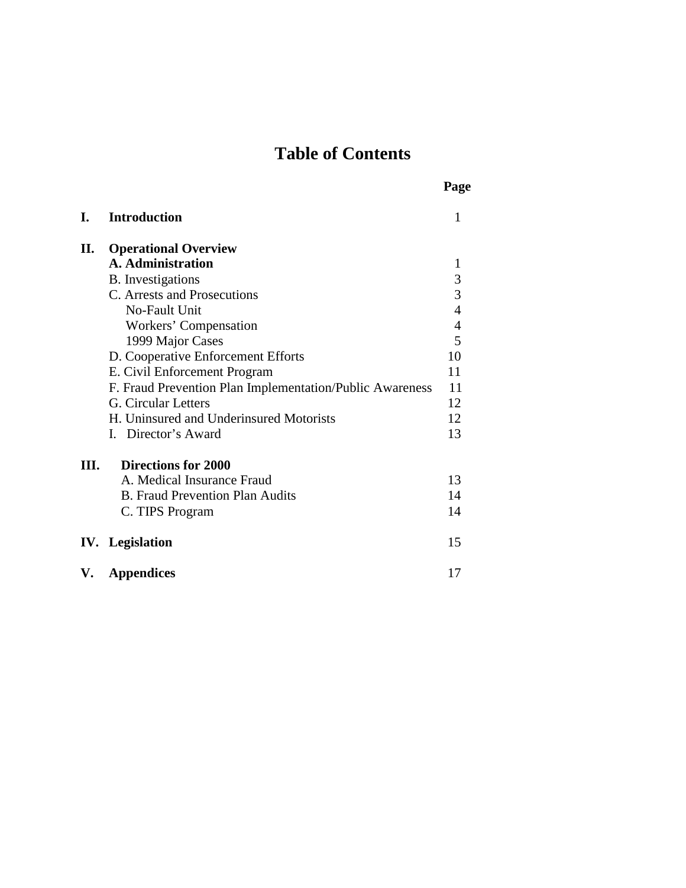## **Table of Contents**

**Page** 

| I. | <b>Introduction</b>                                      | 1              |
|----|----------------------------------------------------------|----------------|
| П. | <b>Operational Overview</b>                              |                |
|    | <b>A.</b> Administration                                 | 1              |
|    | <b>B.</b> Investigations                                 |                |
|    | C. Arrests and Prosecutions                              | $\frac{3}{3}$  |
|    | No-Fault Unit                                            | $\overline{4}$ |
|    | Workers' Compensation                                    | $\overline{4}$ |
|    | 1999 Major Cases                                         | 5              |
|    | D. Cooperative Enforcement Efforts                       | 10             |
|    | E. Civil Enforcement Program                             | 11             |
|    | F. Fraud Prevention Plan Implementation/Public Awareness | 11             |
|    | G. Circular Letters                                      | 12             |
|    | H. Uninsured and Underinsured Motorists                  | 12             |
|    | I. Director's Award                                      | 13             |
| Ш. | <b>Directions for 2000</b>                               |                |
|    | A. Medical Insurance Fraud                               | 13             |
|    | <b>B. Fraud Prevention Plan Audits</b>                   | 14             |
|    | C. TIPS Program                                          | 14             |
|    | <b>IV.</b> Legislation                                   | 15             |
| V. | <b>Appendices</b>                                        | 17             |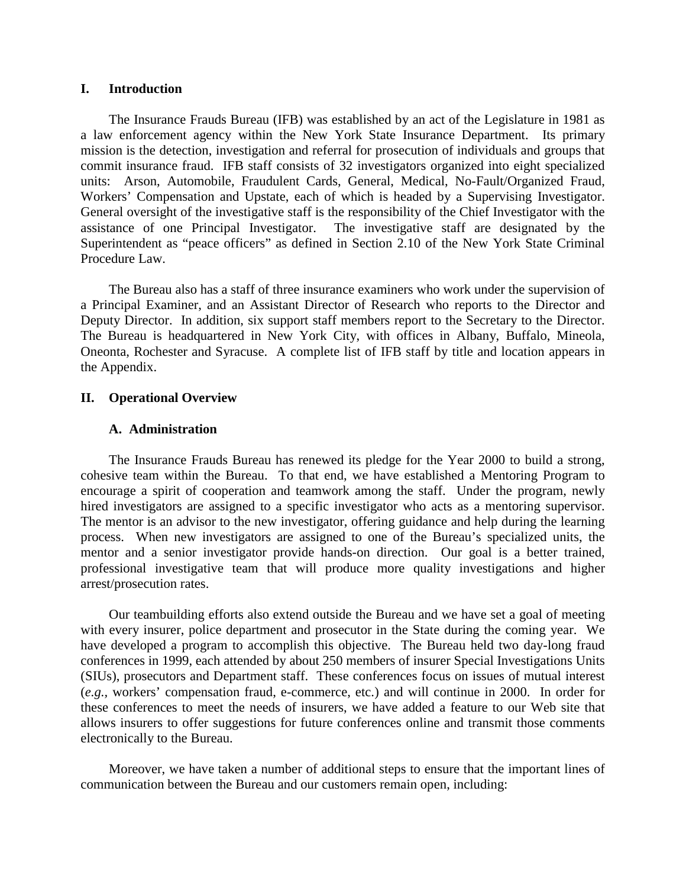#### **I. Introduction**

 Workers' Compensation and Upstate, each of which is headed by a Supervising Investigator. The Insurance Frauds Bureau (IFB) was established by an act of the Legislature in 1981 as a law enforcement agency within the New York State Insurance Department. Its primary mission is the detection, investigation and referral for prosecution of individuals and groups that commit insurance fraud. IFB staff consists of 32 investigators organized into eight specialized units: Arson, Automobile, Fraudulent Cards, General, Medical, No-Fault/Organized Fraud, General oversight of the investigative staff is the responsibility of the Chief Investigator with the assistance of one Principal Investigator. The investigative staff are designated by the Superintendent as "peace officers" as defined in Section 2.10 of the New York State Criminal Procedure Law.

 a Principal Examiner, and an Assistant Director of Research who reports to the Director and Oneonta, Rochester and Syracuse. A complete list of IFB staff by title and location appears in The Bureau also has a staff of three insurance examiners who work under the supervision of Deputy Director. In addition, six support staff members report to the Secretary to the Director. The Bureau is headquartered in New York City, with offices in Albany, Buffalo, Mineola, the Appendix.

#### **II. Operational Overview**

#### **A. Administration**

The Insurance Frauds Bureau has renewed its pledge for the Year 2000 to build a strong, cohesive team within the Bureau. To that end, we have established a Mentoring Program to encourage a spirit of cooperation and teamwork among the staff. Under the program, newly hired investigators are assigned to a specific investigator who acts as a mentoring supervisor. The mentor is an advisor to the new investigator, offering guidance and help during the learning process. When new investigators are assigned to one of the Bureau's specialized units, the mentor and a senior investigator provide hands-on direction. Our goal is a better trained, professional investigative team that will produce more quality investigations and higher arrest/prosecution rates.

 with every insurer, police department and prosecutor in the State during the coming year. We Our teambuilding efforts also extend outside the Bureau and we have set a goal of meeting have developed a program to accomplish this objective. The Bureau held two day-long fraud conferences in 1999, each attended by about 250 members of insurer Special Investigations Units (SIUs), prosecutors and Department staff. These conferences focus on issues of mutual interest (*e.g.,* workers' compensation fraud, e-commerce, etc.) and will continue in 2000. In order for these conferences to meet the needs of insurers, we have added a feature to our Web site that allows insurers to offer suggestions for future conferences online and transmit those comments electronically to the Bureau.

Moreover, we have taken a number of additional steps to ensure that the important lines of communication between the Bureau and our customers remain open, including: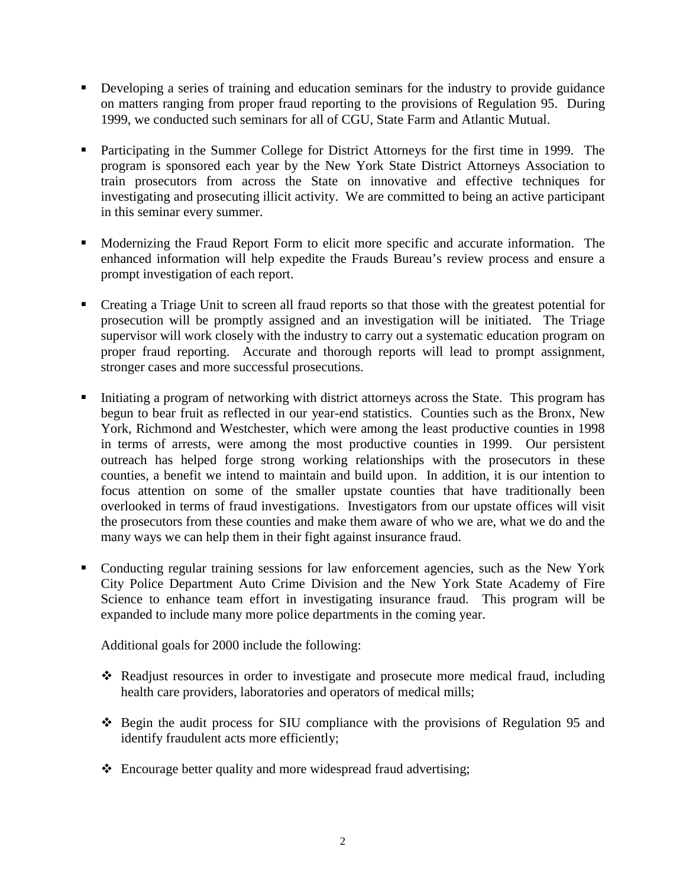- Developing a series of training and education seminars for the industry to provide guidance on matters ranging from proper fraud reporting to the provisions of Regulation 95. During 1999, we conducted such seminars for all of CGU, State Farm and Atlantic Mutual.
- Participating in the Summer College for District Attorneys for the first time in 1999. The program is sponsored each year by the New York State District Attorneys Association to train prosecutors from across the State on innovative and effective techniques for investigating and prosecuting illicit activity. We are committed to being an active participant in this seminar every summer.
- Modernizing the Fraud Report Form to elicit more specific and accurate information. The enhanced information will help expedite the Frauds Bureau's review process and ensure a prompt investigation of each report.
- Creating a Triage Unit to screen all fraud reports so that those with the greatest potential for prosecution will be promptly assigned and an investigation will be initiated. The Triage supervisor will work closely with the industry to carry out a systematic education program on proper fraud reporting. Accurate and thorough reports will lead to prompt assignment, stronger cases and more successful prosecutions.
- Initiating a program of networking with district attorneys across the State. This program has begun to bear fruit as reflected in our year-end statistics. Counties such as the Bronx, New York, Richmond and Westchester, which were among the least productive counties in 1998 in terms of arrests, were among the most productive counties in 1999. Our persistent outreach has helped forge strong working relationships with the prosecutors in these counties, a benefit we intend to maintain and build upon. In addition, it is our intention to focus attention on some of the smaller upstate counties that have traditionally been overlooked in terms of fraud investigations. Investigators from our upstate offices will visit the prosecutors from these counties and make them aware of who we are, what we do and the many ways we can help them in their fight against insurance fraud.
- Conducting regular training sessions for law enforcement agencies, such as the New York City Police Department Auto Crime Division and the New York State Academy of Fire Science to enhance team effort in investigating insurance fraud. This program will be expanded to include many more police departments in the coming year.

Additional goals for 2000 include the following:

- Readjust resources in order to investigate and prosecute more medical fraud, including health care providers, laboratories and operators of medical mills;
- Begin the audit process for SIU compliance with the provisions of Regulation 95 and identify fraudulent acts more efficiently;
- Encourage better quality and more widespread fraud advertising;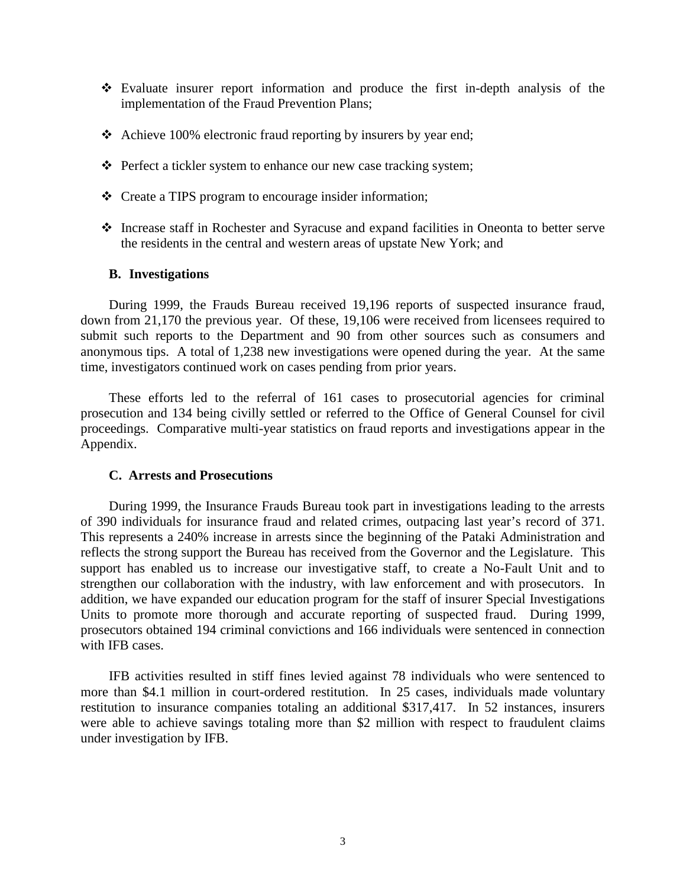- Evaluate insurer report information and produce the first in-depth analysis of the implementation of the Fraud Prevention Plans;
- \* Achieve 100% electronic fraud reporting by insurers by year end;
- \* Perfect a tickler system to enhance our new case tracking system;
- Create a TIPS program to encourage insider information;
- - Increase staff in Rochester and Syracuse and expand facilities in Oneonta to better serve the residents in the central and western areas of upstate New York; and

#### **B. Investigations**

 anonymous tips. A total of 1,238 new investigations were opened during the year. At the same During 1999, the Frauds Bureau received 19,196 reports of suspected insurance fraud, down from 21,170 the previous year. Of these, 19,106 were received from licensees required to submit such reports to the Department and 90 from other sources such as consumers and time, investigators continued work on cases pending from prior years.

These efforts led to the referral of 161 cases to prosecutorial agencies for criminal prosecution and 134 being civilly settled or referred to the Office of General Counsel for civil proceedings. Comparative multi-year statistics on fraud reports and investigations appear in the Appendix.

#### **C. Arrests and Prosecutions**

During 1999, the Insurance Frauds Bureau took part in investigations leading to the arrests of 390 individuals for insurance fraud and related crimes, outpacing last year's record of 371. This represents a 240% increase in arrests since the beginning of the Pataki Administration and reflects the strong support the Bureau has received from the Governor and the Legislature. This support has enabled us to increase our investigative staff, to create a No-Fault Unit and to strengthen our collaboration with the industry, with law enforcement and with prosecutors. In addition, we have expanded our education program for the staff of insurer Special Investigations Units to promote more thorough and accurate reporting of suspected fraud. During 1999, prosecutors obtained 194 criminal convictions and 166 individuals were sentenced in connection with IFB cases.

IFB activities resulted in stiff fines levied against 78 individuals who were sentenced to more than \$4.1 million in court-ordered restitution. In 25 cases, individuals made voluntary restitution to insurance companies totaling an additional \$317,417. In 52 instances, insurers were able to achieve savings totaling more than \$2 million with respect to fraudulent claims under investigation by IFB.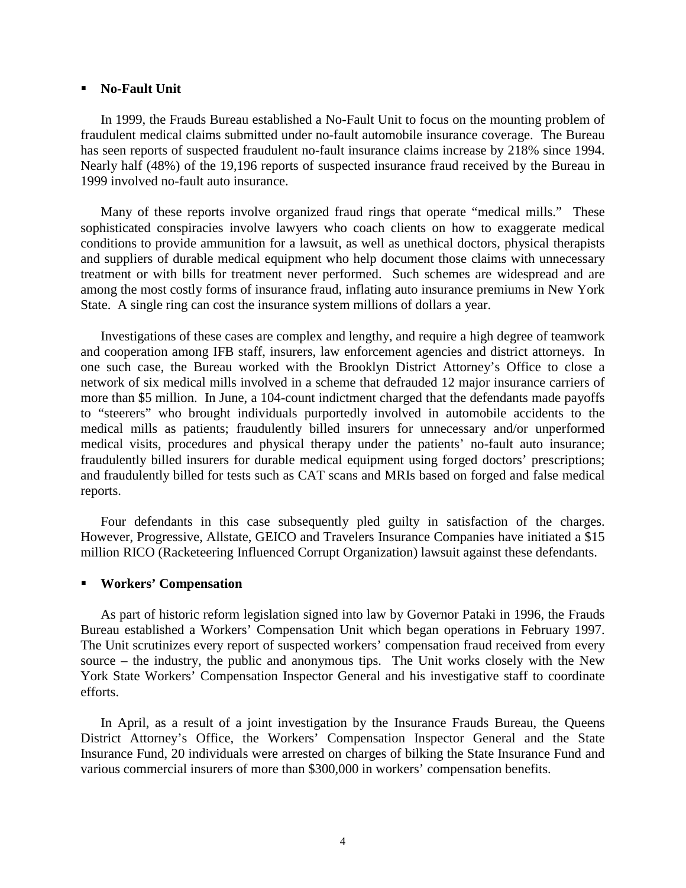#### **No-Fault Unit**

In 1999, the Frauds Bureau established a No-Fault Unit to focus on the mounting problem of fraudulent medical claims submitted under no-fault automobile insurance coverage. The Bureau has seen reports of suspected fraudulent no-fault insurance claims increase by 218% since 1994. Nearly half (48%) of the 19,196 reports of suspected insurance fraud received by the Bureau in 1999 involved no-fault auto insurance.

 treatment or with bills for treatment never performed. Such schemes are widespread and are Many of these reports involve organized fraud rings that operate "medical mills." These sophisticated conspiracies involve lawyers who coach clients on how to exaggerate medical conditions to provide ammunition for a lawsuit, as well as unethical doctors, physical therapists and suppliers of durable medical equipment who help document those claims with unnecessary among the most costly forms of insurance fraud, inflating auto insurance premiums in New York State. A single ring can cost the insurance system millions of dollars a year.

Investigations of these cases are complex and lengthy, and require a high degree of teamwork and cooperation among IFB staff, insurers, law enforcement agencies and district attorneys. In one such case, the Bureau worked with the Brooklyn District Attorney's Office to close a network of six medical mills involved in a scheme that defrauded 12 major insurance carriers of more than \$5 million. In June, a 104-count indictment charged that the defendants made payoffs to "steerers" who brought individuals purportedly involved in automobile accidents to the medical mills as patients; fraudulently billed insurers for unnecessary and/or unperformed medical visits, procedures and physical therapy under the patients' no-fault auto insurance; fraudulently billed insurers for durable medical equipment using forged doctors' prescriptions; and fraudulently billed for tests such as CAT scans and MRIs based on forged and false medical reports.

Four defendants in this case subsequently pled guilty in satisfaction of the charges. However, Progressive, Allstate, GEICO and Travelers Insurance Companies have initiated a \$15 million RICO (Racketeering Influenced Corrupt Organization) lawsuit against these defendants.

#### **Workers' Compensation**

As part of historic reform legislation signed into law by Governor Pataki in 1996, the Frauds Bureau established a Workers' Compensation Unit which began operations in February 1997. The Unit scrutinizes every report of suspected workers' compensation fraud received from every source – the industry, the public and anonymous tips. The Unit works closely with the New York State Workers' Compensation Inspector General and his investigative staff to coordinate efforts.

 In April, as a result of a joint investigation by the Insurance Frauds Bureau, the Queens District Attorney's Office, the Workers' Compensation Inspector General and the State Insurance Fund, 20 individuals were arrested on charges of bilking the State Insurance Fund and various commercial insurers of more than \$300,000 in workers' compensation benefits.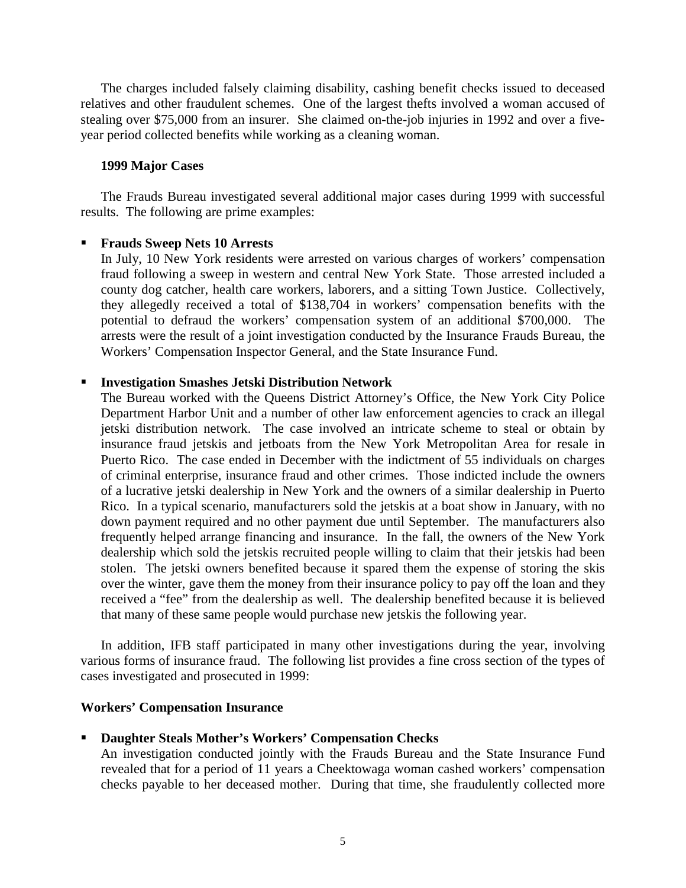<span id="page-8-0"></span>The charges included falsely claiming disability, cashing benefit checks issued to deceased relatives and other fraudulent schemes. One of the largest thefts involved a woman accused of stealing over \$75,000 from an insurer. She claimed on-the-job injuries in 1992 and over a fiveyear period collected benefits while working as a cleaning woman.

#### **1999 Major Cases**

The Frauds Bureau investigated several additional major cases during 1999 with successful results. The following are prime examples:

#### **Frauds Sweep Nets 10 Arrests**

In July, 10 New York residents were arrested on various charges of workers' compensation fraud following a sweep in western and central New York State. Those arrested included a county dog catcher, health care workers, laborers, and a sitting Town Justice. Collectively, they allegedly received a total of \$138,704 in workers' compensation benefits with the potential to defraud the workers' compensation system of an additional \$700,000. The arrests were the result of a joint investigation conducted by the Insurance Frauds Bureau, the Workers' Compensation Inspector General, and the State Insurance Fund.

#### **Investigation Smashes Jetski Distribution Network**

 The Bureau worked with the Queens District Attorney's Office, the New York City Police insurance fraud jetskis and jetboats from the New York Metropolitan Area for resale in of criminal enterprise, insurance fraud and other crimes. Those indicted include the owners down payment required and no other payment due until September. The manufacturers also dealership which sold the jetskis recruited people willing to claim that their jetskis had been Department Harbor Unit and a number of other law enforcement agencies to crack an illegal jetski distribution network. The case involved an intricate scheme to steal or obtain by Puerto Rico. The case ended in December with the indictment of 55 individuals on charges of a lucrative jetski dealership in New York and the owners of a similar dealership in Puerto Rico. In a typical scenario, manufacturers sold the jetskis at a boat show in January, with no frequently helped arrange financing and insurance. In the fall, the owners of the New York stolen. The jetski owners benefited because it spared them the expense of storing the skis over the winter, gave them the money from their insurance policy to pay off the loan and they received a "fee" from the dealership as well. The dealership benefited because it is believed that many of these same people would purchase new jetskis the following year.

In addition, IFB staff participated in many other investigations during the year, involving various forms of insurance fraud. The following list provides a fine cross section of the types of cases investigated and prosecuted in 1999:

#### **Workers' Compensation Insurance**

#### **Daughter Steals Mother's Workers' Compensation Checks**

An investigation conducted jointly with the Frauds Bureau and the State Insurance Fund revealed that for a period of 11 years a Cheektowaga woman cashed workers' compensation checks payable to her deceased mother. During that time, she fraudulently collected more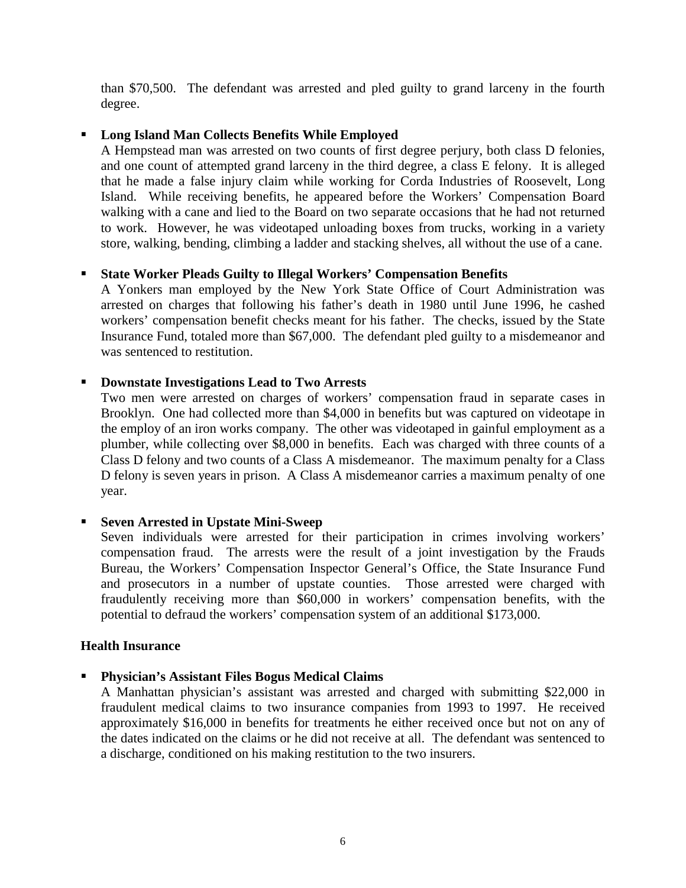than \$70,500. The defendant was arrested and pled guilty to grand larceny in the fourth degree.

## **Long Island Man Collects Benefits While Employed**

 and one count of attempted grand larceny in the third degree, a class E felony. It is alleged that he made a false injury claim while working for Corda Industries of Roosevelt, Long A Hempstead man was arrested on two counts of first degree perjury, both class D felonies, Island. While receiving benefits, he appeared before the Workers' Compensation Board walking with a cane and lied to the Board on two separate occasions that he had not returned to work. However, he was videotaped unloading boxes from trucks, working in a variety store, walking, bending, climbing a ladder and stacking shelves, all without the use of a cane.

## **State Worker Pleads Guilty to Illegal Workers' Compensation Benefits**

A Yonkers man employed by the New York State Office of Court Administration was arrested on charges that following his father's death in 1980 until June 1996, he cashed workers' compensation benefit checks meant for his father. The checks, issued by the State Insurance Fund, totaled more than \$67,000. The defendant pled guilty to a misdemeanor and was sentenced to restitution.

## **Downstate Investigations Lead to Two Arrests**

Two men were arrested on charges of workers' compensation fraud in separate cases in Brooklyn. One had collected more than \$4,000 in benefits but was captured on videotape in the employ of an iron works company. The other was videotaped in gainful employment as a plumber, while collecting over \$8,000 in benefits. Each was charged with three counts of a Class D felony and two counts of a Class A misdemeanor. The maximum penalty for a Class D felony is seven years in prison. A Class A misdemeanor carries a maximum penalty of one year.

## **Seven Arrested in Upstate Mini-Sweep**

 fraudulently receiving more than \$60,000 in workers' compensation benefits, with the Seven individuals were arrested for their participation in crimes involving workers' compensation fraud. The arrests were the result of a joint investigation by the Frauds Bureau, the Workers' Compensation Inspector General's Office, the State Insurance Fund and prosecutors in a number of upstate counties. Those arrested were charged with potential to defraud the workers' compensation system of an additional \$173,000.

## **Health Insurance**

## **Physician's Assistant Files Bogus Medical Claims**

A Manhattan physician's assistant was arrested and charged with submitting \$22,000 in fraudulent medical claims to two insurance companies from 1993 to 1997. He received approximately \$16,000 in benefits for treatments he either received once but not on any of the dates indicated on the claims or he did not receive at all. The defendant was sentenced to a discharge, conditioned on his making restitution to the two insurers.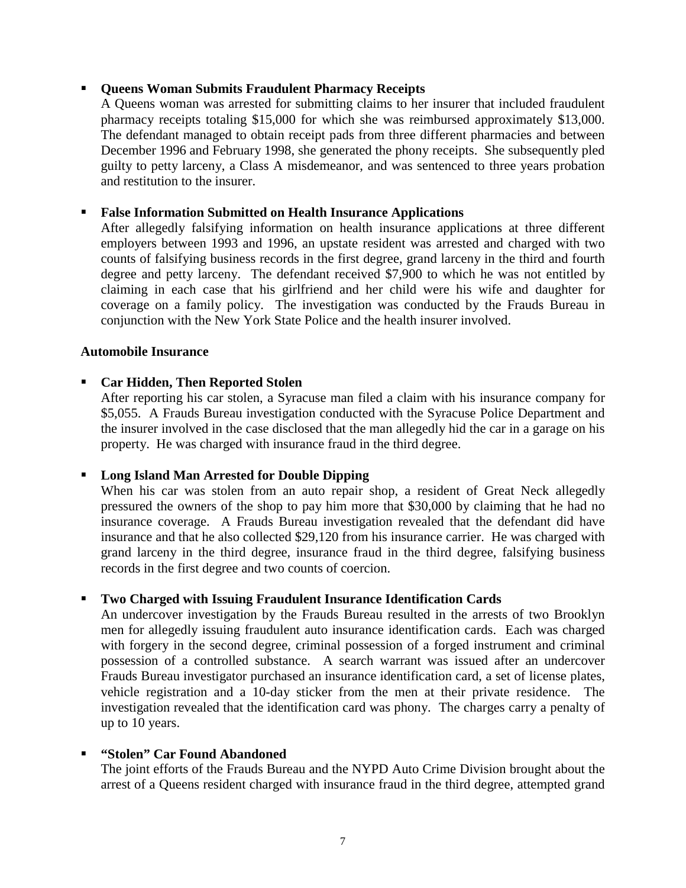#### **Queens Woman Submits Fraudulent Pharmacy Receipts**

 guilty to petty larceny, a Class A misdemeanor, and was sentenced to three years probation A Queens woman was arrested for submitting claims to her insurer that included fraudulent pharmacy receipts totaling \$15,000 for which she was reimbursed approximately \$13,000. The defendant managed to obtain receipt pads from three different pharmacies and between December 1996 and February 1998, she generated the phony receipts. She subsequently pled and restitution to the insurer.

#### **False Information Submitted on Health Insurance Applications**

 coverage on a family policy. The investigation was conducted by the Frauds Bureau in After allegedly falsifying information on health insurance applications at three different employers between 1993 and 1996, an upstate resident was arrested and charged with two counts of falsifying business records in the first degree, grand larceny in the third and fourth degree and petty larceny. The defendant received \$7,900 to which he was not entitled by claiming in each case that his girlfriend and her child were his wife and daughter for conjunction with the New York State Police and the health insurer involved.

#### **Automobile Insurance**

#### **Car Hidden, Then Reported Stolen**

After reporting his car stolen, a Syracuse man filed a claim with his insurance company for \$5,055. A Frauds Bureau investigation conducted with the Syracuse Police Department and the insurer involved in the case disclosed that the man allegedly hid the car in a garage on his property. He was charged with insurance fraud in the third degree.

#### **Long Island Man Arrested for Double Dipping**

 grand larceny in the third degree, insurance fraud in the third degree, falsifying business When his car was stolen from an auto repair shop, a resident of Great Neck allegedly pressured the owners of the shop to pay him more that \$30,000 by claiming that he had no insurance coverage. A Frauds Bureau investigation revealed that the defendant did have insurance and that he also collected \$29,120 from his insurance carrier. He was charged with records in the first degree and two counts of coercion.

#### **Two Charged with Issuing Fraudulent Insurance Identification Cards**

 investigation revealed that the identification card was phony. The charges carry a penalty of An undercover investigation by the Frauds Bureau resulted in the arrests of two Brooklyn men for allegedly issuing fraudulent auto insurance identification cards. Each was charged with forgery in the second degree, criminal possession of a forged instrument and criminal possession of a controlled substance. A search warrant was issued after an undercover Frauds Bureau investigator purchased an insurance identification card, a set of license plates, vehicle registration and a 10-day sticker from the men at their private residence. The up to 10 years.

## **"Stolen" Car Found Abandoned**

The joint efforts of the Frauds Bureau and the NYPD Auto Crime Division brought about the arrest of a Queens resident charged with insurance fraud in the third degree, attempted grand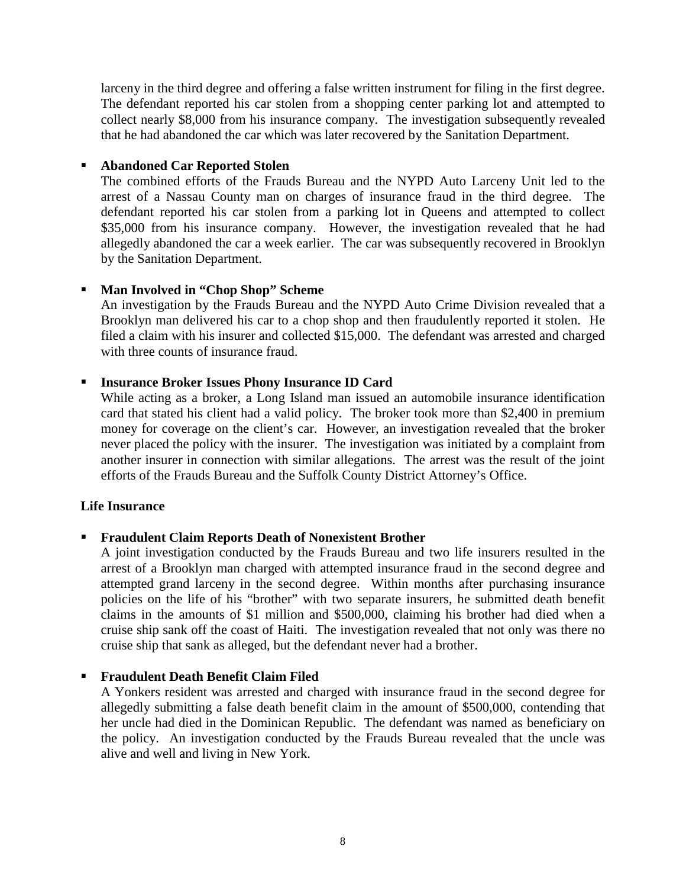larceny in the third degree and offering a false written instrument for filing in the first degree. The defendant reported his car stolen from a shopping center parking lot and attempted to collect nearly \$8,000 from his insurance company. The investigation subsequently revealed that he had abandoned the car which was later recovered by the Sanitation Department.

## **Abandoned Car Reported Stolen**

 The combined efforts of the Frauds Bureau and the NYPD Auto Larceny Unit led to the \$35,000 from his insurance company. However, the investigation revealed that he had arrest of a Nassau County man on charges of insurance fraud in the third degree. The defendant reported his car stolen from a parking lot in Queens and attempted to collect allegedly abandoned the car a week earlier. The car was subsequently recovered in Brooklyn by the Sanitation Department.

## **Man Involved in "Chop Shop" Scheme**

An investigation by the Frauds Bureau and the NYPD Auto Crime Division revealed that a Brooklyn man delivered his car to a chop shop and then fraudulently reported it stolen. He filed a claim with his insurer and collected \$15,000. The defendant was arrested and charged with three counts of insurance fraud.

## **Insurance Broker Issues Phony Insurance ID Card**

 While acting as a broker, a Long Island man issued an automobile insurance identification never placed the policy with the insurer. The investigation was initiated by a complaint from card that stated his client had a valid policy. The broker took more than \$2,400 in premium money for coverage on the client's car. However, an investigation revealed that the broker another insurer in connection with similar allegations. The arrest was the result of the joint efforts of the Frauds Bureau and the Suffolk County District Attorney's Office.

#### **Life Insurance**

## **Fraudulent Claim Reports Death of Nonexistent Brother**

 policies on the life of his "brother" with two separate insurers, he submitted death benefit cruise ship sank off the coast of Haiti. The investigation revealed that not only was there no A joint investigation conducted by the Frauds Bureau and two life insurers resulted in the arrest of a Brooklyn man charged with attempted insurance fraud in the second degree and attempted grand larceny in the second degree. Within months after purchasing insurance claims in the amounts of \$1 million and \$500,000, claiming his brother had died when a cruise ship that sank as alleged, but the defendant never had a brother.

## **Fraudulent Death Benefit Claim Filed**

A Yonkers resident was arrested and charged with insurance fraud in the second degree for allegedly submitting a false death benefit claim in the amount of \$500,000, contending that her uncle had died in the Dominican Republic. The defendant was named as beneficiary on the policy. An investigation conducted by the Frauds Bureau revealed that the uncle was alive and well and living in New York.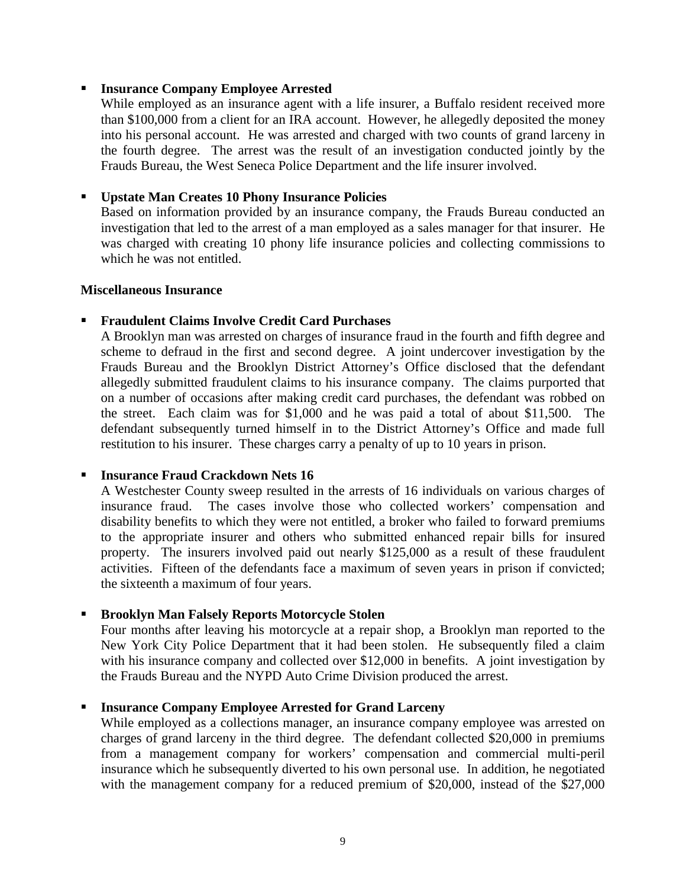#### **Insurance Company Employee Arrested**

 While employed as an insurance agent with a life insurer, a Buffalo resident received more than \$100,000 from a client for an IRA account. However, he allegedly deposited the money into his personal account. He was arrested and charged with two counts of grand larceny in the fourth degree. The arrest was the result of an investigation conducted jointly by the Frauds Bureau, the West Seneca Police Department and the life insurer involved.

#### **Upstate Man Creates 10 Phony Insurance Policies**

 investigation that led to the arrest of a man employed as a sales manager for that insurer. He Based on information provided by an insurance company, the Frauds Bureau conducted an was charged with creating 10 phony life insurance policies and collecting commissions to which he was not entitled.

#### **Miscellaneous Insurance**

#### **Fraudulent Claims Involve Credit Card Purchases**

A Brooklyn man was arrested on charges of insurance fraud in the fourth and fifth degree and scheme to defraud in the first and second degree. A joint undercover investigation by the Frauds Bureau and the Brooklyn District Attorney's Office disclosed that the defendant allegedly submitted fraudulent claims to his insurance company. The claims purported that on a number of occasions after making credit card purchases, the defendant was robbed on the street. Each claim was for \$1,000 and he was paid a total of about \$11,500. The defendant subsequently turned himself in to the District Attorney's Office and made full restitution to his insurer. These charges carry a penalty of up to 10 years in prison.

#### **Insurance Fraud Crackdown Nets 16**

 to the appropriate insurer and others who submitted enhanced repair bills for insured A Westchester County sweep resulted in the arrests of 16 individuals on various charges of insurance fraud. The cases involve those who collected workers' compensation and disability benefits to which they were not entitled, a broker who failed to forward premiums property. The insurers involved paid out nearly \$125,000 as a result of these fraudulent activities. Fifteen of the defendants face a maximum of seven years in prison if convicted; the sixteenth a maximum of four years.

#### **Brooklyn Man Falsely Reports Motorcycle Stolen**

Four months after leaving his motorcycle at a repair shop, a Brooklyn man reported to the New York City Police Department that it had been stolen. He subsequently filed a claim with his insurance company and collected over \$12,000 in benefits. A joint investigation by the Frauds Bureau and the NYPD Auto Crime Division produced the arrest.

#### **Insurance Company Employee Arrested for Grand Larceny**

 While employed as a collections manager, an insurance company employee was arrested on charges of grand larceny in the third degree. The defendant collected \$20,000 in premiums from a management company for workers' compensation and commercial multi-peril insurance which he subsequently diverted to his own personal use. In addition, he negotiated with the management company for a reduced premium of \$20,000, instead of the \$27,000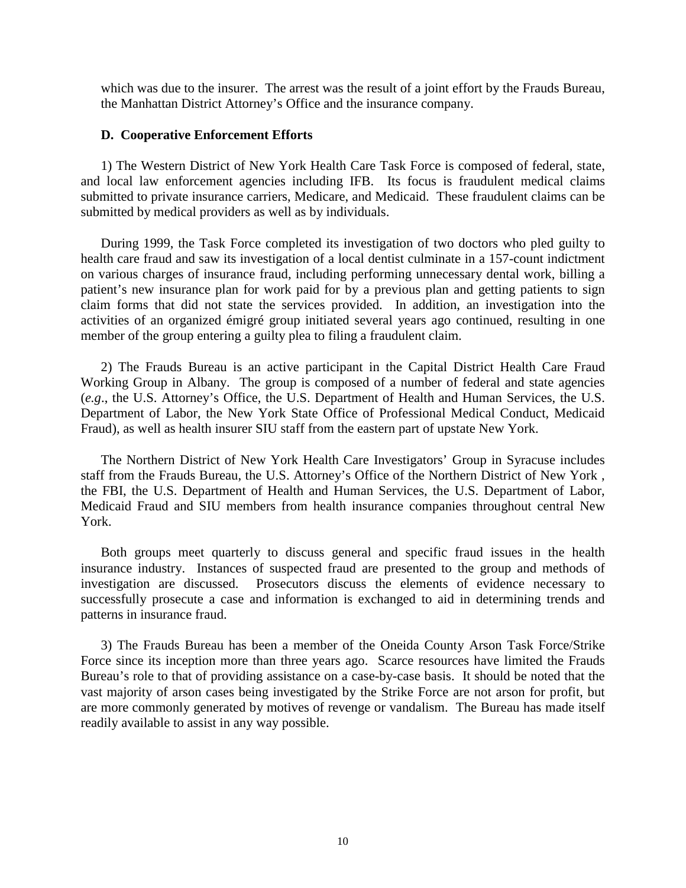<span id="page-13-0"></span> which was due to the insurer. The arrest was the result of a joint effort by the Frauds Bureau, the Manhattan District Attorney's Office and the insurance company.

#### **D. Cooperative Enforcement Efforts**

 1) The Western District of New York Health Care Task Force is composed of federal, state, and local law enforcement agencies including IFB. Its focus is fraudulent medical claims submitted to private insurance carriers, Medicare, and Medicaid. These fraudulent claims can be submitted by medical providers as well as by individuals.

 patient's new insurance plan for work paid for by a previous plan and getting patients to sign During 1999, the Task Force completed its investigation of two doctors who pled guilty to health care fraud and saw its investigation of a local dentist culminate in a 157-count indictment on various charges of insurance fraud, including performing unnecessary dental work, billing a claim forms that did not state the services provided. In addition, an investigation into the activities of an organized émigré group initiated several years ago continued, resulting in one member of the group entering a guilty plea to filing a fraudulent claim.

2) The Frauds Bureau is an active participant in the Capital District Health Care Fraud Working Group in Albany. The group is composed of a number of federal and state agencies (*e.g*., the U.S. Attorney's Office, the U.S. Department of Health and Human Services, the U.S. Department of Labor, the New York State Office of Professional Medical Conduct, Medicaid Fraud), as well as health insurer SIU staff from the eastern part of upstate New York.

The Northern District of New York Health Care Investigators' Group in Syracuse includes staff from the Frauds Bureau, the U.S. Attorney's Office of the Northern District of New York , the FBI, the U.S. Department of Health and Human Services, the U.S. Department of Labor, Medicaid Fraud and SIU members from health insurance companies throughout central New York.

 insurance industry. Instances of suspected fraud are presented to the group and methods of Both groups meet quarterly to discuss general and specific fraud issues in the health investigation are discussed. Prosecutors discuss the elements of evidence necessary to successfully prosecute a case and information is exchanged to aid in determining trends and patterns in insurance fraud.

 Force since its inception more than three years ago. Scarce resources have limited the Frauds Bureau's role to that of providing assistance on a case-by-case basis. It should be noted that the 3) The Frauds Bureau has been a member of the Oneida County Arson Task Force/Strike vast majority of arson cases being investigated by the Strike Force are not arson for profit, but are more commonly generated by motives of revenge or vandalism. The Bureau has made itself readily available to assist in any way possible.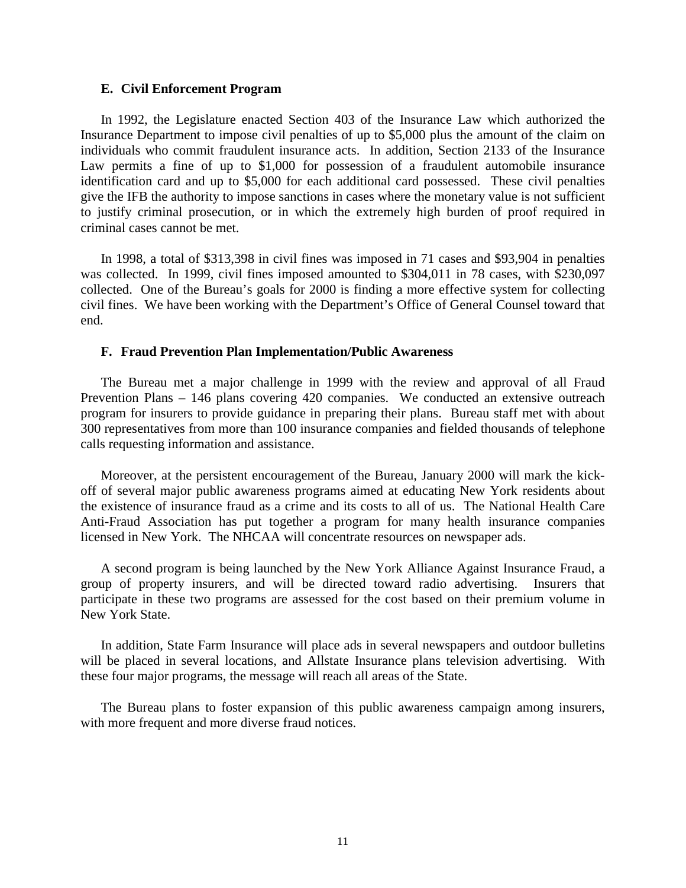#### **E. Civil Enforcement Program**

 give the IFB the authority to impose sanctions in cases where the monetary value is not sufficient to justify criminal prosecution, or in which the extremely high burden of proof required in In 1992, the Legislature enacted Section 403 of the Insurance Law which authorized the Insurance Department to impose civil penalties of up to \$5,000 plus the amount of the claim on individuals who commit fraudulent insurance acts. In addition, Section 2133 of the Insurance Law permits a fine of up to \$1,000 for possession of a fraudulent automobile insurance identification card and up to \$5,000 for each additional card possessed. These civil penalties criminal cases cannot be met.

 civil fines. We have been working with the Department's Office of General Counsel toward that In 1998, a total of \$313,398 in civil fines was imposed in 71 cases and \$93,904 in penalties was collected. In 1999, civil fines imposed amounted to \$304,011 in 78 cases, with \$230,097 collected. One of the Bureau's goals for 2000 is finding a more effective system for collecting end.

#### **F. Fraud Prevention Plan Implementation/Public Awareness**

The Bureau met a major challenge in 1999 with the review and approval of all Fraud Prevention Plans – 146 plans covering 420 companies. We conducted an extensive outreach program for insurers to provide guidance in preparing their plans. Bureau staff met with about 300 representatives from more than 100 insurance companies and fielded thousands of telephone calls requesting information and assistance.

 the existence of insurance fraud as a crime and its costs to all of us. The National Health Care Moreover, at the persistent encouragement of the Bureau, January 2000 will mark the kickoff of several major public awareness programs aimed at educating New York residents about Anti-Fraud Association has put together a program for many health insurance companies licensed in New York. The NHCAA will concentrate resources on newspaper ads.

 group of property insurers, and will be directed toward radio advertising. Insurers that A second program is being launched by the New York Alliance Against Insurance Fraud, a participate in these two programs are assessed for the cost based on their premium volume in New York State.

In addition, State Farm Insurance will place ads in several newspapers and outdoor bulletins will be placed in several locations, and Allstate Insurance plans television advertising. With these four major programs, the message will reach all areas of the State.

The Bureau plans to foster expansion of this public awareness campaign among insurers, with more frequent and more diverse fraud notices.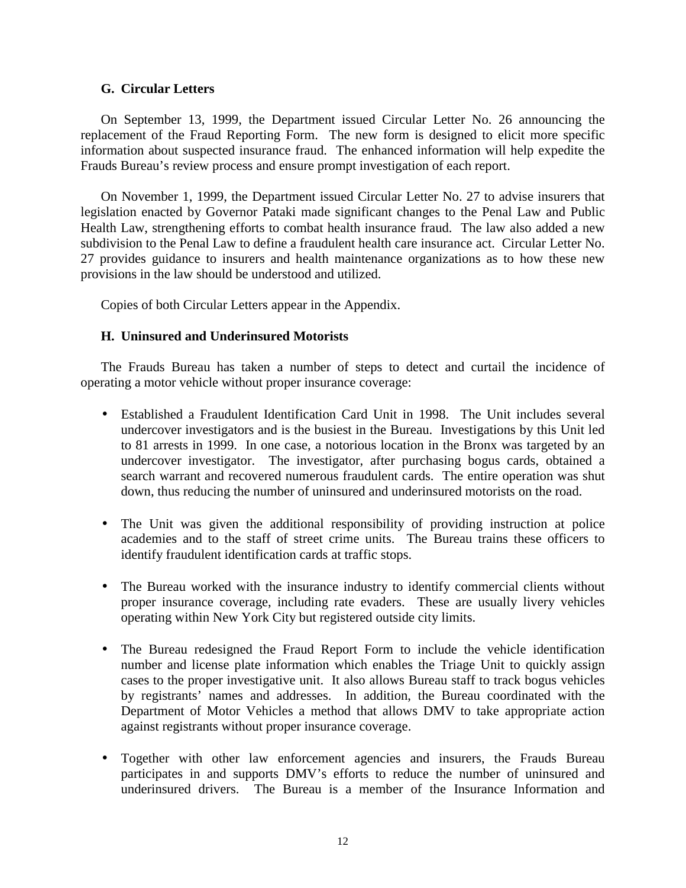#### **G. Circular Letters**

On September 13, 1999, the Department issued Circular Letter No. 26 announcing the replacement of the Fraud Reporting Form. The new form is designed to elicit more specific information about suspected insurance fraud. The enhanced information will help expedite the Frauds Bureau's review process and ensure prompt investigation of each report.

On November 1, 1999, the Department issued Circular Letter No. 27 to advise insurers that legislation enacted by Governor Pataki made significant changes to the Penal Law and Public Health Law, strengthening efforts to combat health insurance fraud. The law also added a new subdivision to the Penal Law to define a fraudulent health care insurance act. Circular Letter No. 27 provides guidance to insurers and health maintenance organizations as to how these new provisions in the law should be understood and utilized.

Copies of both Circular Letters appear in the Appendix.

## **H. Uninsured and Underinsured Motorists**

The Frauds Bureau has taken a number of steps to detect and curtail the incidence of operating a motor vehicle without proper insurance coverage:

- Established a Fraudulent Identification Card Unit in 1998. The Unit includes several undercover investigators and is the busiest in the Bureau. Investigations by this Unit led to 81 arrests in 1999. In one case, a notorious location in the Bronx was targeted by an undercover investigator. The investigator, after purchasing bogus cards, obtained a search warrant and recovered numerous fraudulent cards. The entire operation was shut down, thus reducing the number of uninsured and underinsured motorists on the road.
- The Unit was given the additional responsibility of providing instruction at police academies and to the staff of street crime units. The Bureau trains these officers to identify fraudulent identification cards at traffic stops.
- The Bureau worked with the insurance industry to identify commercial clients without proper insurance coverage, including rate evaders. These are usually livery vehicles operating within New York City but registered outside city limits.
- number and license plate information which enables the Triage Unit to quickly assign • The Bureau redesigned the Fraud Report Form to include the vehicle identification cases to the proper investigative unit. It also allows Bureau staff to track bogus vehicles by registrants' names and addresses. In addition, the Bureau coordinated with the Department of Motor Vehicles a method that allows DMV to take appropriate action against registrants without proper insurance coverage.
- Together with other law enforcement agencies and insurers, the Frauds Bureau participates in and supports DMV's efforts to reduce the number of uninsured and underinsured drivers. The Bureau is a member of the Insurance Information and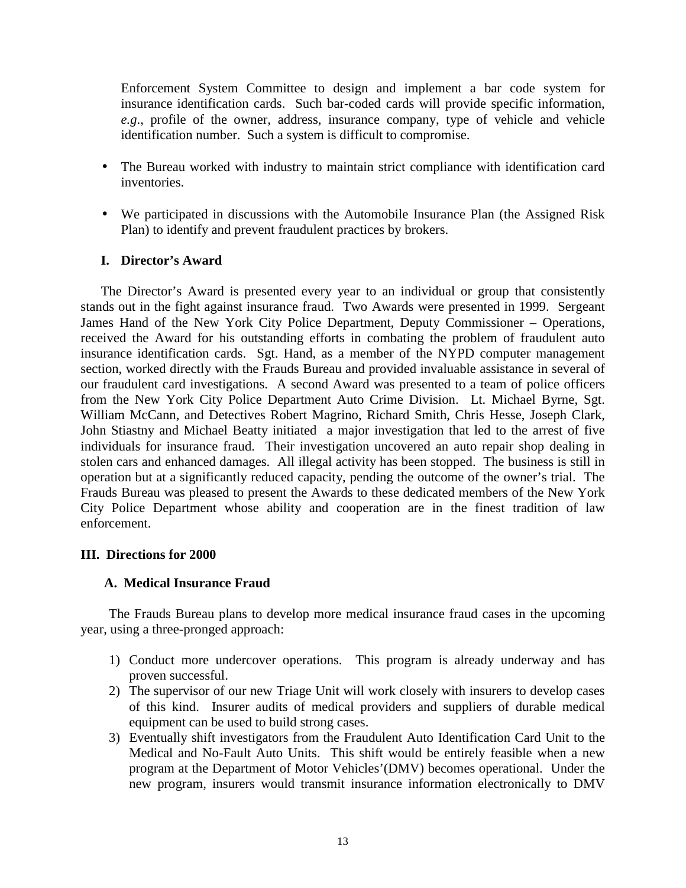Enforcement System Committee to design and implement a bar code system for insurance identification cards. Such bar-coded cards will provide specific information, *e.g*., profile of the owner, address, insurance company, type of vehicle and vehicle identification number. Such a system is difficult to compromise.

- The Bureau worked with industry to maintain strict compliance with identification card inventories.
- We participated in discussions with the Automobile Insurance Plan (the Assigned Risk Plan) to identify and prevent fraudulent practices by brokers.

## **I. Director's Award**

The Director's Award is presented every year to an individual or group that consistently stands out in the fight against insurance fraud. Two Awards were presented in 1999. Sergeant James Hand of the New York City Police Department, Deputy Commissioner – Operations, received the Award for his outstanding efforts in combating the problem of fraudulent auto insurance identification cards. Sgt. Hand, as a member of the NYPD computer management section, worked directly with the Frauds Bureau and provided invaluable assistance in several of our fraudulent card investigations. A second Award was presented to a team of police officers from the New York City Police Department Auto Crime Division. Lt. Michael Byrne, Sgt. William McCann, and Detectives Robert Magrino, Richard Smith, Chris Hesse, Joseph Clark, John Stiastny and Michael Beatty initiated a major investigation that led to the arrest of five individuals for insurance fraud. Their investigation uncovered an auto repair shop dealing in stolen cars and enhanced damages. All illegal activity has been stopped. The business is still in operation but at a significantly reduced capacity, pending the outcome of the owner's trial. The Frauds Bureau was pleased to present the Awards to these dedicated members of the New York City Police Department whose ability and cooperation are in the finest tradition of law enforcement.

#### **III. Directions for 2000**

#### **A. Medical Insurance Fraud**

The Frauds Bureau plans to develop more medical insurance fraud cases in the upcoming year, using a three-pronged approach:

- 1) Conduct more undercover operations. This program is already underway and has proven successful.
- 2) The supervisor of our new Triage Unit will work closely with insurers to develop cases of this kind. Insurer audits of medical providers and suppliers of durable medical equipment can be used to build strong cases.
- Medical and No-Fault Auto Units. This shift would be entirely feasible when a new 3) Eventually shift investigators from the Fraudulent Auto Identification Card Unit to the program at the Department of Motor Vehicles'(DMV) becomes operational. Under the new program, insurers would transmit insurance information electronically to DMV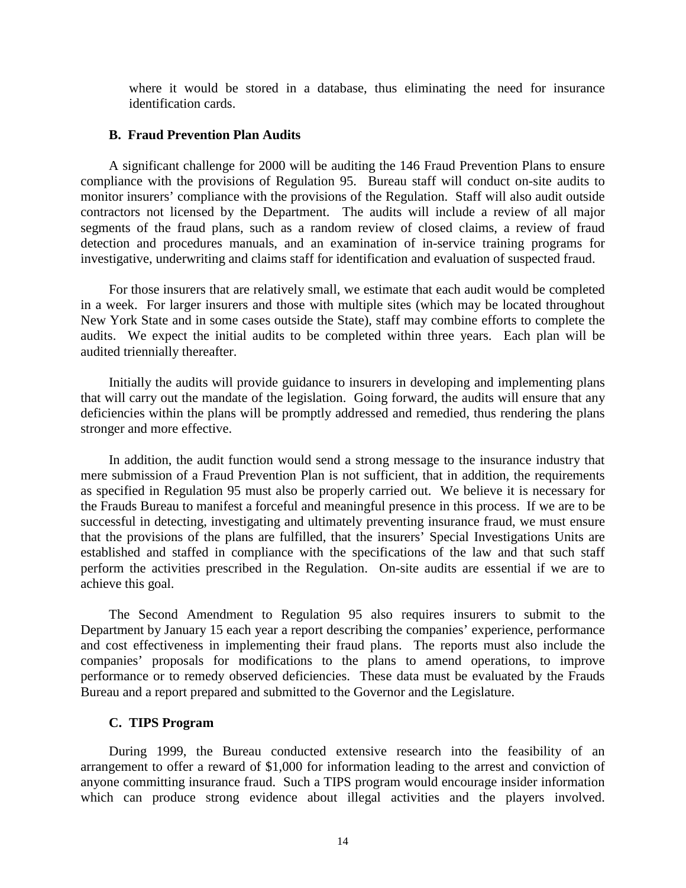where it would be stored in a database, thus eliminating the need for insurance identification cards.

#### **B. Fraud Prevention Plan Audits**

 compliance with the provisions of Regulation 95. Bureau staff will conduct on-site audits to A significant challenge for 2000 will be auditing the 146 Fraud Prevention Plans to ensure monitor insurers' compliance with the provisions of the Regulation. Staff will also audit outside contractors not licensed by the Department. The audits will include a review of all major segments of the fraud plans, such as a random review of closed claims, a review of fraud detection and procedures manuals, and an examination of in-service training programs for investigative, underwriting and claims staff for identification and evaluation of suspected fraud.

 For those insurers that are relatively small, we estimate that each audit would be completed New York State and in some cases outside the State), staff may combine efforts to complete the audits. We expect the initial audits to be completed within three years. Each plan will be in a week. For larger insurers and those with multiple sites (which may be located throughout audited triennially thereafter.

 deficiencies within the plans will be promptly addressed and remedied, thus rendering the plans Initially the audits will provide guidance to insurers in developing and implementing plans that will carry out the mandate of the legislation. Going forward, the audits will ensure that any stronger and more effective.

 as specified in Regulation 95 must also be properly carried out. We believe it is necessary for the Frauds Bureau to manifest a forceful and meaningful presence in this process. If we are to be that the provisions of the plans are fulfilled, that the insurers' Special Investigations Units are established and staffed in compliance with the specifications of the law and that such staff In addition, the audit function would send a strong message to the insurance industry that mere submission of a Fraud Prevention Plan is not sufficient, that in addition, the requirements successful in detecting, investigating and ultimately preventing insurance fraud, we must ensure perform the activities prescribed in the Regulation. On-site audits are essential if we are to achieve this goal.

 performance or to remedy observed deficiencies. These data must be evaluated by the Frauds Bureau and a report prepared and submitted to the Governor and the Legislature. The Second Amendment to Regulation 95 also requires insurers to submit to the Department by January 15 each year a report describing the companies' experience, performance and cost effectiveness in implementing their fraud plans. The reports must also include the companies' proposals for modifications to the plans to amend operations, to improve

#### **C. TIPS Program**

During 1999, the Bureau conducted extensive research into the feasibility of an arrangement to offer a reward of \$1,000 for information leading to the arrest and conviction of anyone committing insurance fraud. Such a TIPS program would encourage insider information which can produce strong evidence about illegal activities and the players involved.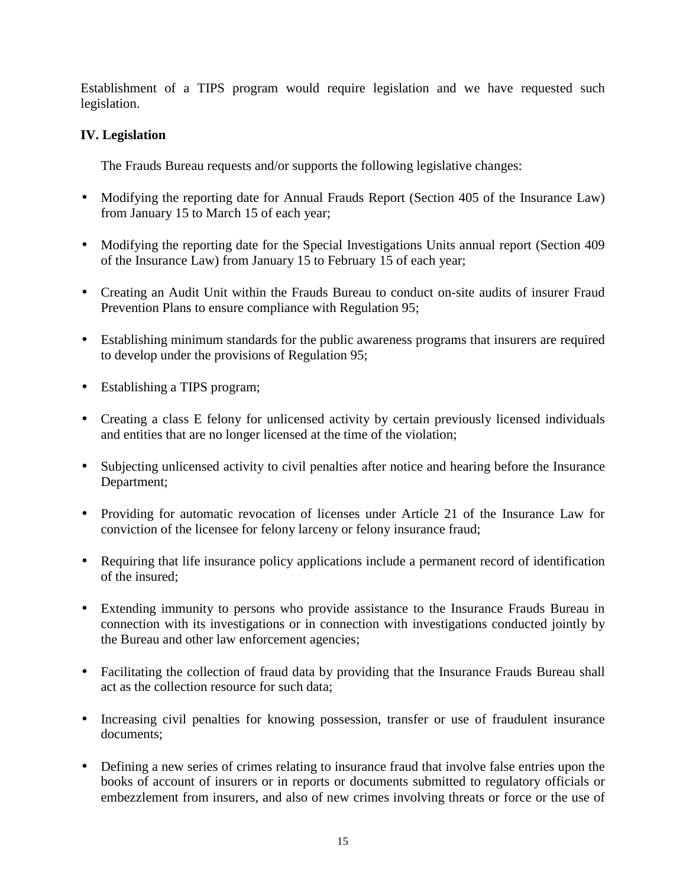<span id="page-18-0"></span>Establishment of a TIPS program would require legislation and we have requested such legislation.

## **IV. Legislation**

The Frauds Bureau requests and/or supports the following legislative changes:

- Modifying the reporting date for Annual Frauds Report (Section 405 of the Insurance Law) from January 15 to March 15 of each year;
- Modifying the reporting date for the Special Investigations Units annual report (Section 409) of the Insurance Law) from January 15 to February 15 of each year;
- Creating an Audit Unit within the Frauds Bureau to conduct on-site audits of insurer Fraud Prevention Plans to ensure compliance with Regulation 95;
- • Establishing minimum standards for the public awareness programs that insurers are required to develop under the provisions of Regulation 95;
- Establishing a TIPS program;
- Creating a class E felony for unlicensed activity by certain previously licensed individuals and entities that are no longer licensed at the time of the violation;
- Subjecting unlicensed activity to civil penalties after notice and hearing before the Insurance Department;
- Providing for automatic revocation of licenses under Article 21 of the Insurance Law for conviction of the licensee for felony larceny or felony insurance fraud;
- Requiring that life insurance policy applications include a permanent record of identification of the insured;
- Extending immunity to persons who provide assistance to the Insurance Frauds Bureau in connection with its investigations or in connection with investigations conducted jointly by the Bureau and other law enforcement agencies;
- Facilitating the collection of fraud data by providing that the Insurance Frauds Bureau shall act as the collection resource for such data;
- Increasing civil penalties for knowing possession, transfer or use of fraudulent insurance documents;
- Defining a new series of crimes relating to insurance fraud that involve false entries upon the books of account of insurers or in reports or documents submitted to regulatory officials or embezzlement from insurers, and also of new crimes involving threats or force or the use of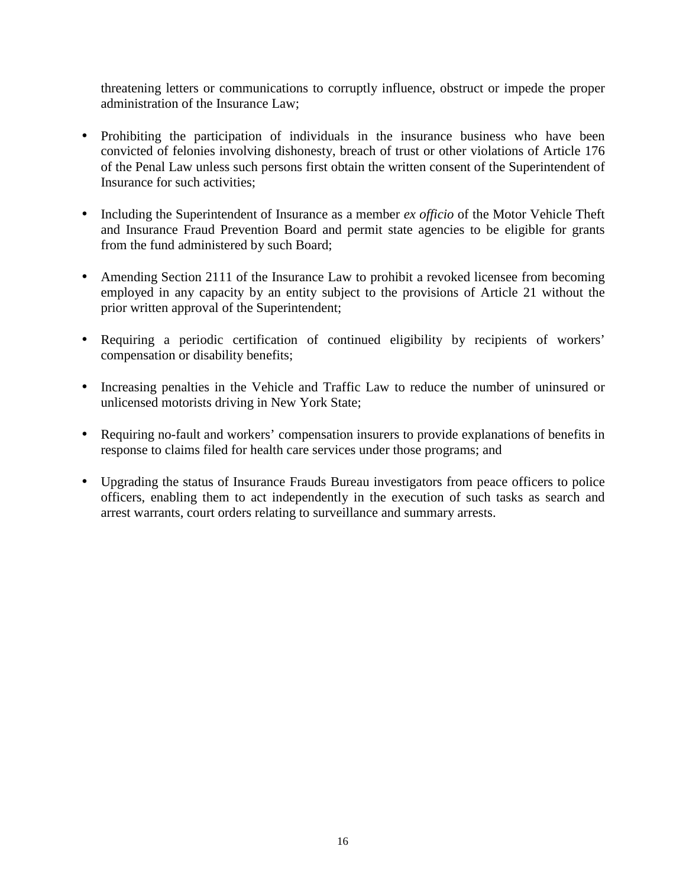threatening letters or communications to corruptly influence, obstruct or impede the proper administration of the Insurance Law;

- Prohibiting the participation of individuals in the insurance business who have been convicted of felonies involving dishonesty, breach of trust or other violations of Article 176 of the Penal Law unless such persons first obtain the written consent of the Superintendent of Insurance for such activities;
- and Insurance Fraud Prevention Board and permit state agencies to be eligible for grants • Including the Superintendent of Insurance as a member *ex officio* of the Motor Vehicle Theft from the fund administered by such Board;
- Amending Section 2111 of the Insurance Law to prohibit a revoked licensee from becoming employed in any capacity by an entity subject to the provisions of Article 21 without the prior written approval of the Superintendent;
- Requiring a periodic certification of continued eligibility by recipients of workers' compensation or disability benefits;
- • Increasing penalties in the Vehicle and Traffic Law to reduce the number of uninsured or unlicensed motorists driving in New York State;
- Requiring no-fault and workers' compensation insurers to provide explanations of benefits in response to claims filed for health care services under those programs; and
- Upgrading the status of Insurance Frauds Bureau investigators from peace officers to police officers, enabling them to act independently in the execution of such tasks as search and arrest warrants, court orders relating to surveillance and summary arrests.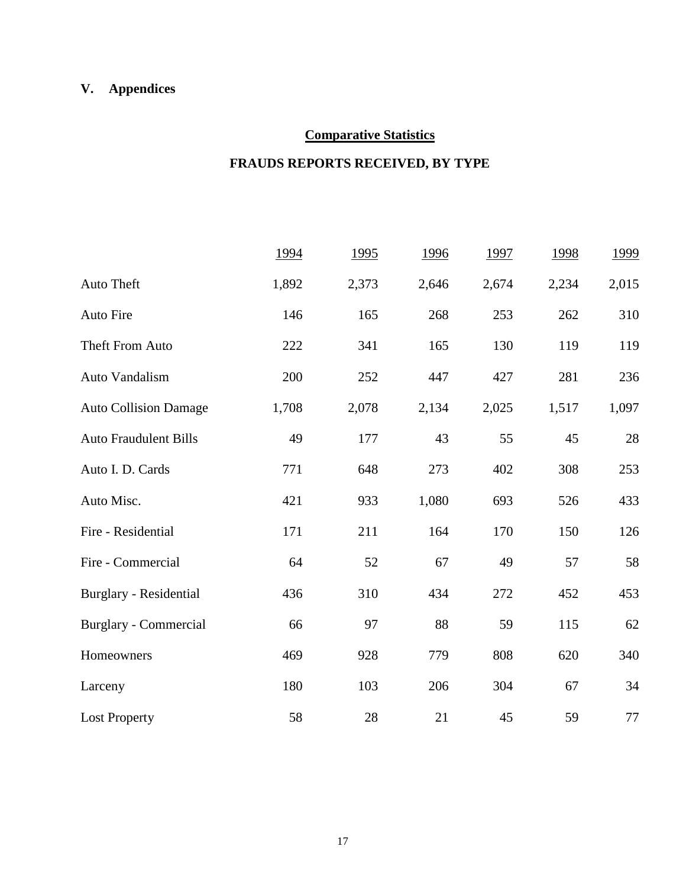## **V. Appendices**

## **Comparative Statistics**

## **FRAUDS REPORTS RECEIVED, BY TYPE**

|                              | 1994  | <u>1995</u> | 1996  | 1997  | 1998  | 1999   |
|------------------------------|-------|-------------|-------|-------|-------|--------|
| Auto Theft                   | 1,892 | 2,373       | 2,646 | 2,674 | 2,234 | 2,015  |
| Auto Fire                    | 146   | 165         | 268   | 253   | 262   | 310    |
| Theft From Auto              | 222   | 341         | 165   | 130   | 119   | 119    |
| Auto Vandalism               | 200   | 252         | 447   | 427   | 281   | 236    |
| <b>Auto Collision Damage</b> | 1,708 | 2,078       | 2,134 | 2,025 | 1,517 | 1,097  |
| <b>Auto Fraudulent Bills</b> | 49    | 177         | 43    | 55    | 45    | $28\,$ |
| Auto I. D. Cards             | 771   | 648         | 273   | 402   | 308   | 253    |
| Auto Misc.                   | 421   | 933         | 1,080 | 693   | 526   | 433    |
| Fire - Residential           | 171   | 211         | 164   | 170   | 150   | 126    |
| Fire - Commercial            | 64    | 52          | 67    | 49    | 57    | 58     |
| Burglary - Residential       | 436   | 310         | 434   | 272   | 452   | 453    |
| Burglary - Commercial        | 66    | 97          | 88    | 59    | 115   | 62     |
| Homeowners                   | 469   | 928         | 779   | 808   | 620   | 340    |
| Larceny                      | 180   | 103         | 206   | 304   | 67    | 34     |
| <b>Lost Property</b>         | 58    | 28          | 21    | 45    | 59    | 77     |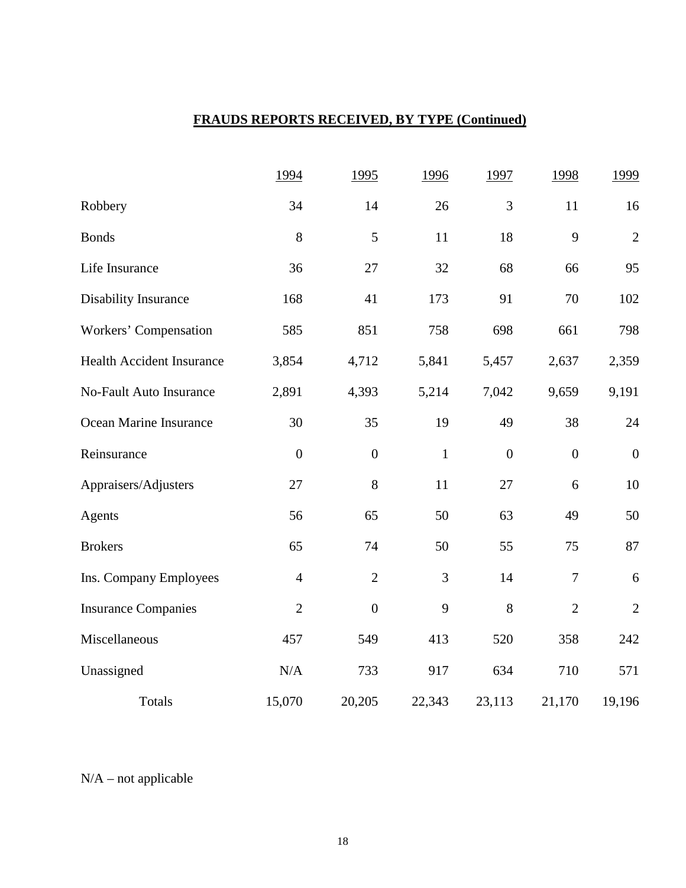## **FRAUDS REPORTS RECEIVED, BY TYPE (Continued)**

|                                  | 1994           | 1995             | 1996         | 1997             | 1998             | 1999             |
|----------------------------------|----------------|------------------|--------------|------------------|------------------|------------------|
| Robbery                          | 34             | 14               | 26           | 3                | 11               | 16               |
| <b>Bonds</b>                     | 8              | 5                | 11           | 18               | 9                | $\sqrt{2}$       |
| Life Insurance                   | 36             | 27               | 32           | 68               | 66               | 95               |
| Disability Insurance             | 168            | 41               | 173          | 91               | 70               | 102              |
| Workers' Compensation            | 585            | 851              | 758          | 698              | 661              | 798              |
| <b>Health Accident Insurance</b> | 3,854          | 4,712            | 5,841        | 5,457            | 2,637            | 2,359            |
| <b>No-Fault Auto Insurance</b>   | 2,891          | 4,393            | 5,214        | 7,042            | 9,659            | 9,191            |
| Ocean Marine Insurance           | 30             | 35               | 19           | 49               | 38               | 24               |
| Reinsurance                      | $\overline{0}$ | $\boldsymbol{0}$ | $\mathbf{1}$ | $\boldsymbol{0}$ | $\boldsymbol{0}$ | $\boldsymbol{0}$ |
| Appraisers/Adjusters             | 27             | 8                | 11           | 27               | 6                | 10               |
| Agents                           | 56             | 65               | 50           | 63               | 49               | 50               |
| <b>Brokers</b>                   | 65             | 74               | 50           | 55               | 75               | 87               |
| Ins. Company Employees           | $\overline{4}$ | $\overline{2}$   | 3            | 14               | $\overline{7}$   | $\sqrt{6}$       |
| <b>Insurance Companies</b>       | $\overline{2}$ | $\overline{0}$   | 9            | 8                | $\overline{2}$   | $\mathbf{2}$     |
| Miscellaneous                    | 457            | 549              | 413          | 520              | 358              | 242              |
| Unassigned                       | N/A            | 733              | 917          | 634              | 710              | 571              |
| Totals                           | 15,070         | 20,205           | 22,343       | 23,113           | 21,170           | 19,196           |

N/A – not applicable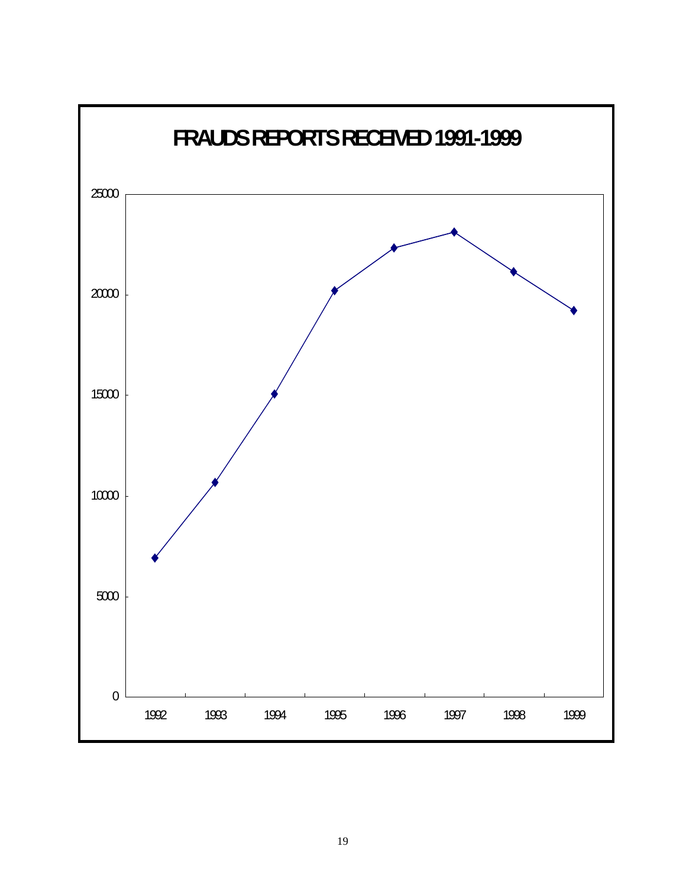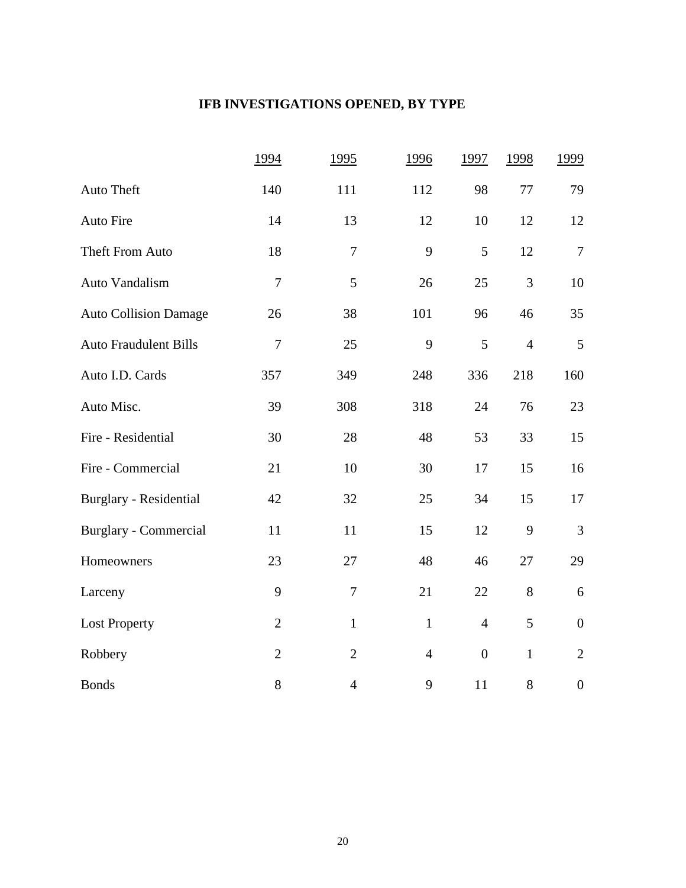## **IFB INVESTIGATIONS OPENED, BY TYPE**

|                              | 1994           | 1995             | 1996           | 1997             | 1998           | 1999             |
|------------------------------|----------------|------------------|----------------|------------------|----------------|------------------|
| Auto Theft                   | 140            | 111              | 112            | 98               | $77\,$         | 79               |
| Auto Fire                    | 14             | 13               | 12             | 10               | 12             | 12               |
| Theft From Auto              | 18             | $\boldsymbol{7}$ | 9              | 5                | 12             | $\boldsymbol{7}$ |
| Auto Vandalism               | $\overline{7}$ | 5                | 26             | 25               | 3              | 10               |
| <b>Auto Collision Damage</b> | 26             | 38               | 101            | 96               | 46             | 35               |
| <b>Auto Fraudulent Bills</b> | $\overline{7}$ | 25               | 9              | 5                | $\overline{4}$ | 5                |
| Auto I.D. Cards              | 357            | 349              | 248            | 336              | 218            | 160              |
| Auto Misc.                   | 39             | 308              | 318            | 24               | 76             | 23               |
| Fire - Residential           | 30             | 28               | 48             | 53               | 33             | 15               |
| Fire - Commercial            | 21             | 10               | 30             | 17               | 15             | 16               |
| Burglary - Residential       | 42             | 32               | 25             | 34               | 15             | 17               |
| <b>Burglary - Commercial</b> | 11             | 11               | 15             | 12               | 9              | 3                |
| Homeowners                   | 23             | 27               | 48             | 46               | 27             | 29               |
| Larceny                      | 9              | $\boldsymbol{7}$ | 21             | 22               | 8              | $\boldsymbol{6}$ |
| <b>Lost Property</b>         | $\overline{2}$ | $\mathbf{1}$     | $\mathbf{1}$   | $\overline{4}$   | 5              | $\boldsymbol{0}$ |
| Robbery                      | $\overline{2}$ | $\overline{2}$   | $\overline{4}$ | $\boldsymbol{0}$ | $\mathbf{1}$   | $\mathbf{2}$     |
| <b>Bonds</b>                 | 8              | $\overline{4}$   | 9              | 11               | $8\,$          | $\boldsymbol{0}$ |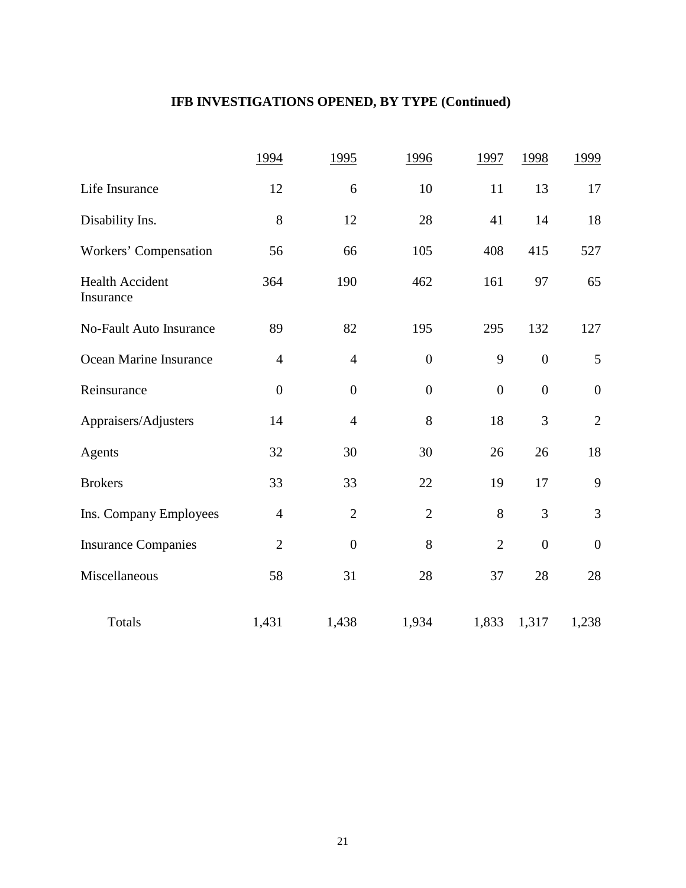## **IFB INVESTIGATIONS OPENED, BY TYPE (Continued)**

|                                     | 1994             | 1995             | 1996             | 1997             | 1998             | 1999             |
|-------------------------------------|------------------|------------------|------------------|------------------|------------------|------------------|
| Life Insurance                      | 12               | 6                | 10               | 11               | 13               | 17               |
| Disability Ins.                     | 8                | 12               | 28               | 41               | 14               | 18               |
| Workers' Compensation               | 56               | 66               | 105              | 408              | 415              | 527              |
| <b>Health Accident</b><br>Insurance | 364              | 190              | 462              | 161              | 97               | 65               |
| <b>No-Fault Auto Insurance</b>      | 89               | 82               | 195              | 295              | 132              | 127              |
| Ocean Marine Insurance              | $\overline{4}$   | $\overline{4}$   | $\boldsymbol{0}$ | 9                | $\boldsymbol{0}$ | 5                |
| Reinsurance                         | $\boldsymbol{0}$ | $\boldsymbol{0}$ | $\boldsymbol{0}$ | $\boldsymbol{0}$ | $\boldsymbol{0}$ | $\boldsymbol{0}$ |
| Appraisers/Adjusters                | 14               | $\overline{4}$   | 8                | 18               | 3                | $\overline{2}$   |
| Agents                              | 32               | 30               | 30               | 26               | 26               | 18               |
| <b>Brokers</b>                      | 33               | 33               | 22               | 19               | 17               | 9                |
| Ins. Company Employees              | $\overline{4}$   | $\overline{2}$   | $\overline{2}$   | 8                | 3                | 3                |
| <b>Insurance Companies</b>          | $\overline{2}$   | $\overline{0}$   | 8                | $\overline{2}$   | $\boldsymbol{0}$ | $\boldsymbol{0}$ |
| Miscellaneous                       | 58               | 31               | 28               | 37               | 28               | 28               |
| Totals                              | 1,431            | 1,438            | 1,934            | 1,833            | 1,317            | 1,238            |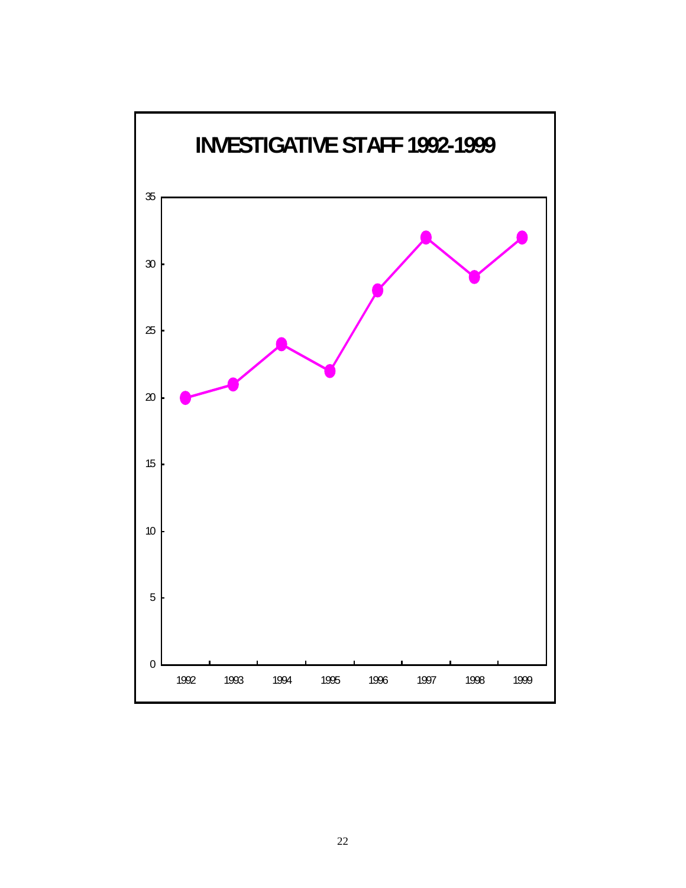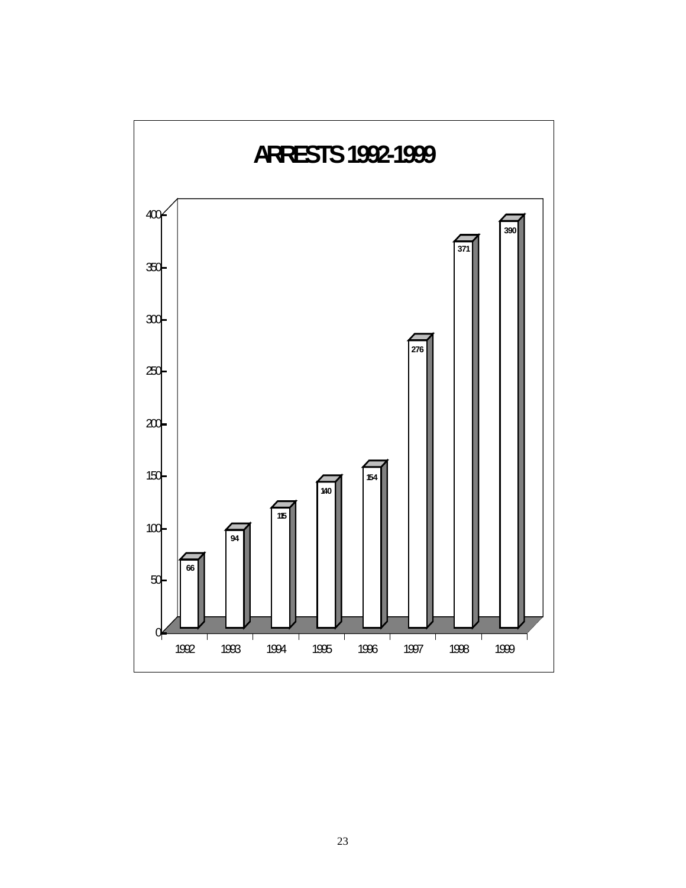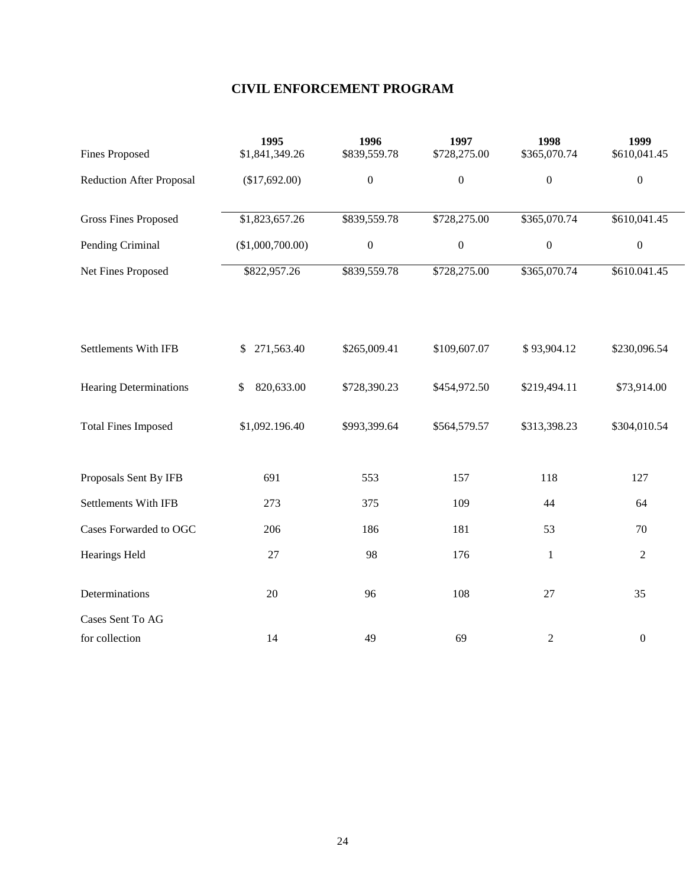## **CIVIL ENFORCEMENT PROGRAM**

| <b>Fines Proposed</b>           | 1995<br>\$1,841,349.26 | 1996<br>\$839,559.78 | 1997<br>\$728,275.00 | 1998<br>\$365,070.74 | 1999<br>\$610,041.45 |
|---------------------------------|------------------------|----------------------|----------------------|----------------------|----------------------|
| <b>Reduction After Proposal</b> | (\$17,692.00)          | $\boldsymbol{0}$     | $\boldsymbol{0}$     | $\boldsymbol{0}$     | $\boldsymbol{0}$     |
| <b>Gross Fines Proposed</b>     | \$1,823,657.26         | \$839,559.78         | \$728,275.00         | \$365,070.74         | \$610,041.45         |
| Pending Criminal                | (\$1,000,700.00)       | $\boldsymbol{0}$     | $\boldsymbol{0}$     | $\boldsymbol{0}$     | $\boldsymbol{0}$     |
| Net Fines Proposed              | \$822,957.26           | \$839,559.78         | \$728,275.00         | \$365,070.74         | \$610.041.45         |
| <b>Settlements With IFB</b>     | 271,563.40<br>\$       | \$265,009.41         | \$109,607.07         | \$93,904.12          | \$230,096.54         |
| <b>Hearing Determinations</b>   | 820,633.00<br>\$       | \$728,390.23         | \$454,972.50         | \$219,494.11         | \$73,914.00          |
| <b>Total Fines Imposed</b>      | \$1,092.196.40         | \$993,399.64         | \$564,579.57         | \$313,398.23         | \$304,010.54         |
| Proposals Sent By IFB           | 691                    | 553                  | 157                  | 118                  | 127                  |
| Settlements With IFB            | 273                    | 375                  | 109                  | 44                   | 64                   |
| Cases Forwarded to OGC          | 206                    | 186                  | 181                  | 53                   | 70                   |
| <b>Hearings Held</b>            | 27                     | 98                   | 176                  | 1                    | $\overline{2}$       |
| Determinations                  | 20                     | 96                   | 108                  | 27                   | 35                   |
| Cases Sent To AG                |                        |                      |                      |                      |                      |
| for collection                  | 14                     | 49                   | 69                   | 2                    | $\boldsymbol{0}$     |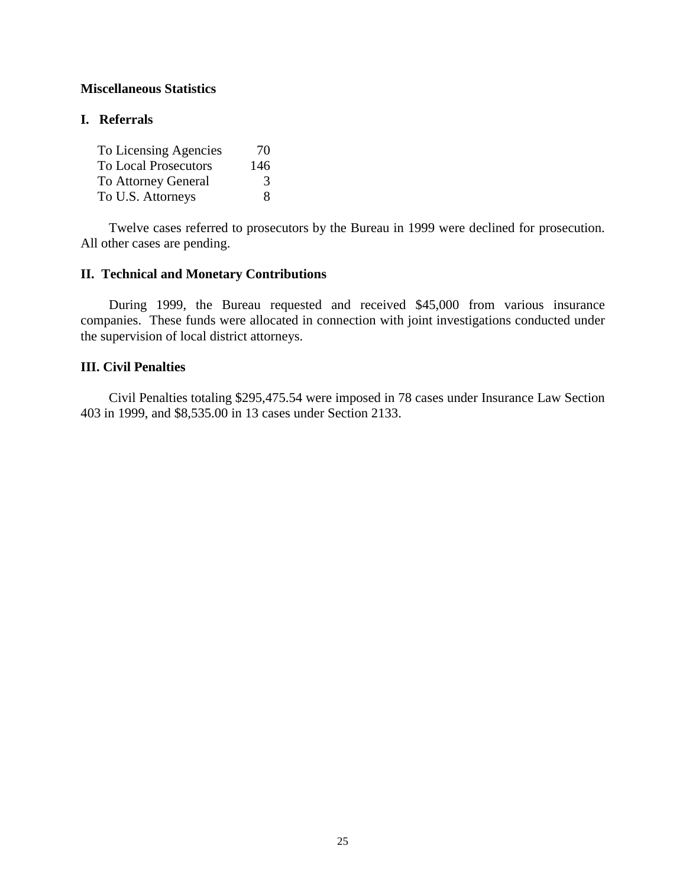#### **Miscellaneous Statistics**

## **I. Referrals**

| To Licensing Agencies       | 70  |
|-----------------------------|-----|
| <b>To Local Prosecutors</b> | 146 |
| <b>To Attorney General</b>  | 3   |
| To U.S. Attorneys           | x   |

Twelve cases referred to prosecutors by the Bureau in 1999 were declined for prosecution. All other cases are pending.

## **II. Technical and Monetary Contributions**

During 1999, the Bureau requested and received \$45,000 from various insurance companies. These funds were allocated in connection with joint investigations conducted under the supervision of local district attorneys.

#### **III. Civil Penalties**

Civil Penalties totaling \$295,475.54 were imposed in 78 cases under Insurance Law Section 403 in 1999, and \$8,535.00 in 13 cases under Section 2133.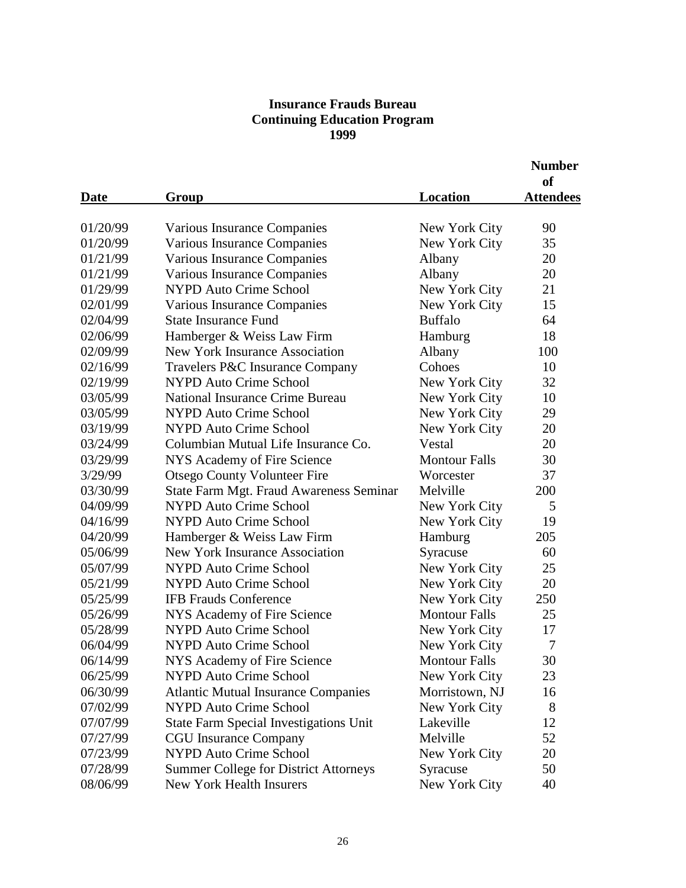## **Insurance Frauds Bureau Continuing Education Program 1999**

|             |                                               |                      | <b>Number</b><br><sub>of</sub> |
|-------------|-----------------------------------------------|----------------------|--------------------------------|
| <u>Date</u> | <u>Group</u>                                  | Location             | <b>Attendees</b>               |
|             |                                               |                      |                                |
| 01/20/99    | Various Insurance Companies                   | New York City        | 90                             |
| 01/20/99    | Various Insurance Companies                   | New York City        | 35                             |
| 01/21/99    | Various Insurance Companies                   | Albany               | 20                             |
| 01/21/99    | Various Insurance Companies                   | Albany               | 20                             |
| 01/29/99    | <b>NYPD Auto Crime School</b>                 | New York City        | 21                             |
| 02/01/99    | Various Insurance Companies                   | New York City        | 15                             |
| 02/04/99    | <b>State Insurance Fund</b>                   | <b>Buffalo</b>       | 64                             |
| 02/06/99    | Hamberger & Weiss Law Firm                    | Hamburg              | 18                             |
| 02/09/99    | <b>New York Insurance Association</b>         | Albany               | 100                            |
| 02/16/99    | Travelers P&C Insurance Company               | Cohoes               | 10                             |
| 02/19/99    | <b>NYPD Auto Crime School</b>                 | New York City        | 32                             |
| 03/05/99    | National Insurance Crime Bureau               | New York City        | 10                             |
| 03/05/99    | <b>NYPD Auto Crime School</b>                 | New York City        | 29                             |
| 03/19/99    | <b>NYPD Auto Crime School</b>                 | New York City        | 20                             |
| 03/24/99    | Columbian Mutual Life Insurance Co.           | Vestal               | 20                             |
| 03/29/99    | NYS Academy of Fire Science                   | <b>Montour Falls</b> | 30                             |
| 3/29/99     | <b>Otsego County Volunteer Fire</b>           | Worcester            | 37                             |
| 03/30/99    | State Farm Mgt. Fraud Awareness Seminar       | Melville             | 200                            |
| 04/09/99    | <b>NYPD Auto Crime School</b>                 | New York City        | 5                              |
| 04/16/99    | <b>NYPD Auto Crime School</b>                 | New York City        | 19                             |
| 04/20/99    | Hamberger & Weiss Law Firm                    | Hamburg              | 205                            |
| 05/06/99    | <b>New York Insurance Association</b>         | Syracuse             | 60                             |
| 05/07/99    | <b>NYPD Auto Crime School</b>                 | New York City        | 25                             |
| 05/21/99    | <b>NYPD Auto Crime School</b>                 | New York City        | 20                             |
| 05/25/99    | <b>IFB Frauds Conference</b>                  | New York City        | 250                            |
| 05/26/99    | NYS Academy of Fire Science                   | <b>Montour Falls</b> | 25                             |
| 05/28/99    | <b>NYPD Auto Crime School</b>                 | New York City        | 17                             |
| 06/04/99    | <b>NYPD Auto Crime School</b>                 | New York City        | 7                              |
| 06/14/99    | NYS Academy of Fire Science                   | Montour Falls        | 30                             |
| 06/25/99    | <b>NYPD Auto Crime School</b>                 | New York City        | 23                             |
| 06/30/99    | <b>Atlantic Mutual Insurance Companies</b>    | Morristown, NJ       | 16                             |
| 07/02/99    | <b>NYPD Auto Crime School</b>                 | New York City        | 8                              |
| 07/07/99    | <b>State Farm Special Investigations Unit</b> | Lakeville            | 12                             |
| 07/27/99    | <b>CGU</b> Insurance Company                  | Melville             | 52                             |
| 07/23/99    | <b>NYPD Auto Crime School</b>                 | New York City        | 20                             |
| 07/28/99    | <b>Summer College for District Attorneys</b>  | Syracuse             | 50                             |
| 08/06/99    | New York Health Insurers                      | New York City        | 40                             |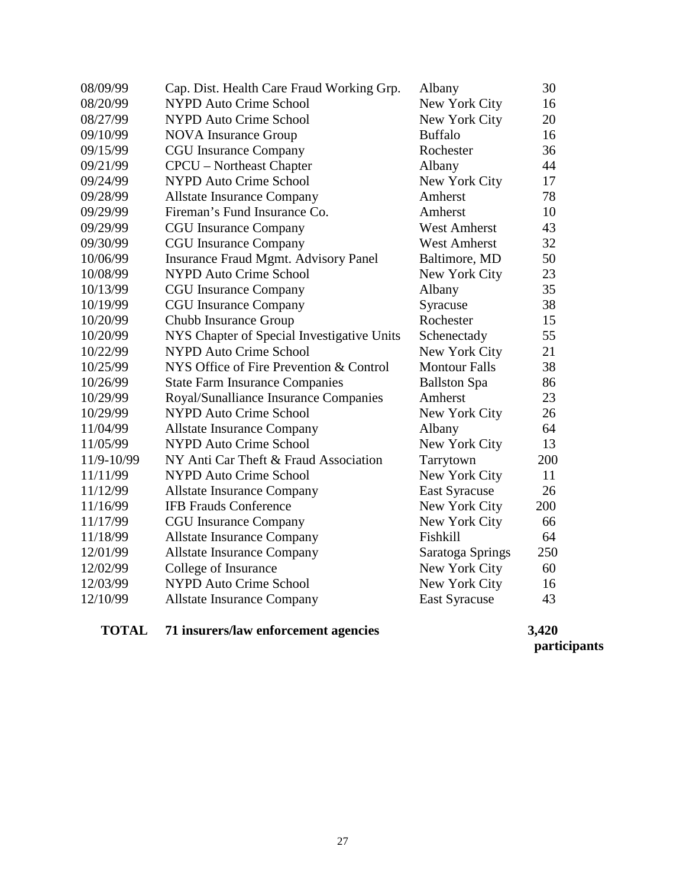| 08/09/99   | Cap. Dist. Health Care Fraud Working Grp.   | Albany               | 30  |
|------------|---------------------------------------------|----------------------|-----|
| 08/20/99   | <b>NYPD Auto Crime School</b>               | New York City        | 16  |
| 08/27/99   | <b>NYPD Auto Crime School</b>               | New York City        | 20  |
| 09/10/99   | <b>NOVA</b> Insurance Group                 | <b>Buffalo</b>       | 16  |
| 09/15/99   | <b>CGU</b> Insurance Company                | Rochester            | 36  |
| 09/21/99   | <b>CPCU</b> – Northeast Chapter             | Albany               | 44  |
| 09/24/99   | <b>NYPD Auto Crime School</b>               | New York City        | 17  |
| 09/28/99   | <b>Allstate Insurance Company</b>           | Amherst              | 78  |
| 09/29/99   | Fireman's Fund Insurance Co.                | Amherst              | 10  |
| 09/29/99   | <b>CGU</b> Insurance Company                | <b>West Amherst</b>  | 43  |
| 09/30/99   | <b>CGU</b> Insurance Company                | <b>West Amherst</b>  | 32  |
| 10/06/99   | <b>Insurance Fraud Mgmt. Advisory Panel</b> | Baltimore, MD        | 50  |
| 10/08/99   | <b>NYPD Auto Crime School</b>               | New York City        | 23  |
| 10/13/99   | <b>CGU</b> Insurance Company                | Albany               | 35  |
| 10/19/99   | <b>CGU</b> Insurance Company                | Syracuse             | 38  |
| 10/20/99   | Chubb Insurance Group                       | Rochester            | 15  |
| 10/20/99   | NYS Chapter of Special Investigative Units  | Schenectady          | 55  |
| 10/22/99   | <b>NYPD Auto Crime School</b>               | New York City        | 21  |
| 10/25/99   | NYS Office of Fire Prevention & Control     | <b>Montour Falls</b> | 38  |
| 10/26/99   | <b>State Farm Insurance Companies</b>       | <b>Ballston</b> Spa  | 86  |
| 10/29/99   | Royal/Sunalliance Insurance Companies       | Amherst              | 23  |
| 10/29/99   | <b>NYPD Auto Crime School</b>               | New York City        | 26  |
| 11/04/99   | <b>Allstate Insurance Company</b>           | Albany               | 64  |
| 11/05/99   | <b>NYPD Auto Crime School</b>               | New York City        | 13  |
| 11/9-10/99 | NY Anti Car Theft & Fraud Association       | Tarrytown            | 200 |
| 11/11/99   | <b>NYPD Auto Crime School</b>               | New York City        | 11  |
| 11/12/99   | <b>Allstate Insurance Company</b>           | <b>East Syracuse</b> | 26  |
| 11/16/99   | <b>IFB Frauds Conference</b>                | New York City        | 200 |
| 11/17/99   | <b>CGU</b> Insurance Company                | New York City        | 66  |
| 11/18/99   | <b>Allstate Insurance Company</b>           | Fishkill             | 64  |
| 12/01/99   | <b>Allstate Insurance Company</b>           | Saratoga Springs     | 250 |
| 12/02/99   | College of Insurance                        | New York City        | 60  |
| 12/03/99   | <b>NYPD Auto Crime School</b>               | New York City        | 16  |
| 12/10/99   | <b>Allstate Insurance Company</b>           | <b>East Syracuse</b> | 43  |
|            |                                             |                      |     |

## **TOTAL 71 insurers/law enforcement agencies 3,420**

 **participants**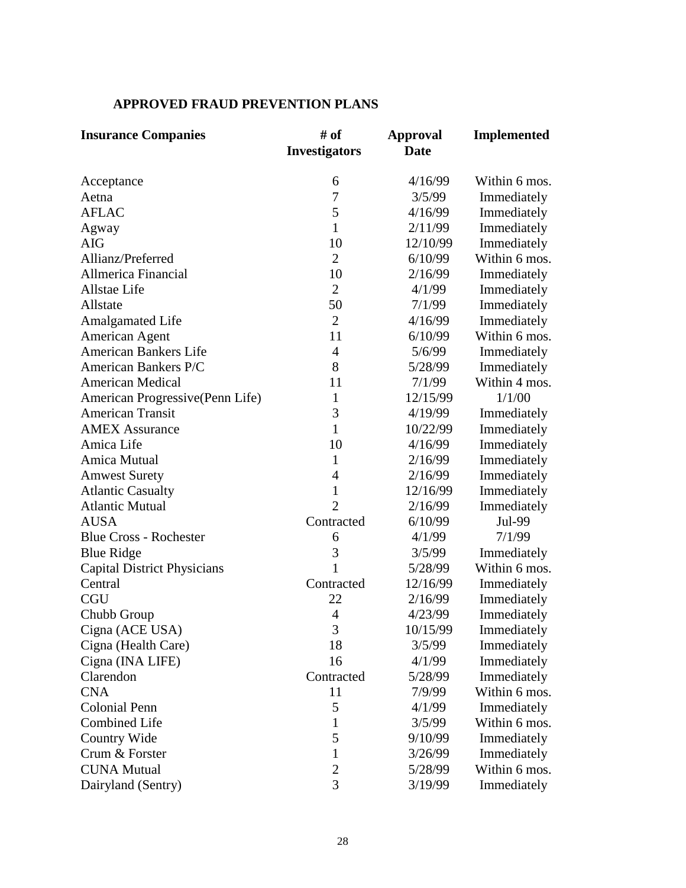## **APPROVED FRAUD PREVENTION PLANS**

| <b>Insurance Companies</b>         | # of<br><b>Investigators</b> | <b>Approval</b><br><b>Date</b> | <b>Implemented</b> |
|------------------------------------|------------------------------|--------------------------------|--------------------|
| Acceptance                         | 6                            | 4/16/99                        | Within 6 mos.      |
| Aetna                              | 7                            | 3/5/99                         | Immediately        |
| <b>AFLAC</b>                       | 5                            | 4/16/99                        | Immediately        |
| Agway                              | $\mathbf{1}$                 | 2/11/99                        | Immediately        |
| <b>AIG</b>                         | 10                           | 12/10/99                       | Immediately        |
| Allianz/Preferred                  | $\overline{2}$               | 6/10/99                        | Within 6 mos.      |
| Allmerica Financial                | 10                           | 2/16/99                        | Immediately        |
| Allstae Life                       | $\overline{2}$               | 4/1/99                         | Immediately        |
| Allstate                           | 50                           | 7/1/99                         | Immediately        |
| <b>Amalgamated Life</b>            | $\overline{2}$               | 4/16/99                        | Immediately        |
| American Agent                     | 11                           | 6/10/99                        | Within 6 mos.      |
| American Bankers Life              | 4                            | 5/6/99                         | Immediately        |
| American Bankers P/C               | 8                            | 5/28/99                        | Immediately        |
| <b>American Medical</b>            | 11                           | 7/1/99                         | Within 4 mos.      |
| American Progressive (Penn Life)   | $\mathbf{1}$                 | 12/15/99                       | 1/1/00             |
| <b>American Transit</b>            | 3                            | 4/19/99                        | Immediately        |
| <b>AMEX Assurance</b>              | $\mathbf{1}$                 | 10/22/99                       | Immediately        |
| Amica Life                         | 10                           | 4/16/99                        | Immediately        |
| Amica Mutual                       | 1                            | 2/16/99                        | Immediately        |
| <b>Amwest Surety</b>               | 4                            | 2/16/99                        | Immediately        |
| <b>Atlantic Casualty</b>           | $\mathbf{1}$                 | 12/16/99                       | Immediately        |
| <b>Atlantic Mutual</b>             | $\overline{2}$               | 2/16/99                        | Immediately        |
| <b>AUSA</b>                        | Contracted                   | 6/10/99                        | Jul-99             |
| <b>Blue Cross - Rochester</b>      | 6                            | 4/1/99                         | 7/1/99             |
| <b>Blue Ridge</b>                  | 3                            | 3/5/99                         | Immediately        |
| <b>Capital District Physicians</b> | 1                            | 5/28/99                        | Within 6 mos.      |
| Central                            | Contracted                   | 12/16/99                       | Immediately        |
| <b>CGU</b>                         | 22                           | 2/16/99                        | Immediately        |
| Chubb Group                        | 4                            | 4/23/99                        | Immediately        |
| Cigna (ACE USA)                    | 3                            | 10/15/99                       | Immediately        |
| Cigna (Health Care)                | 18                           | 3/5/99                         | Immediately        |
| Cigna (INA LIFE)                   | 16                           | 4/1/99                         | Immediately        |
| Clarendon                          | Contracted                   | 5/28/99                        | Immediately        |
| <b>CNA</b>                         | 11                           | 7/9/99                         | Within 6 mos.      |
| <b>Colonial Penn</b>               | 5                            | 4/1/99                         | Immediately        |
| <b>Combined Life</b>               | 1                            | 3/5/99                         | Within 6 mos.      |
| Country Wide                       | 5                            | 9/10/99                        | Immediately        |
| Crum & Forster                     | 1                            | 3/26/99                        | Immediately        |
| <b>CUNA Mutual</b>                 | $\overline{c}$               | 5/28/99                        | Within 6 mos.      |
| Dairyland (Sentry)                 | 3                            | 3/19/99                        | Immediately        |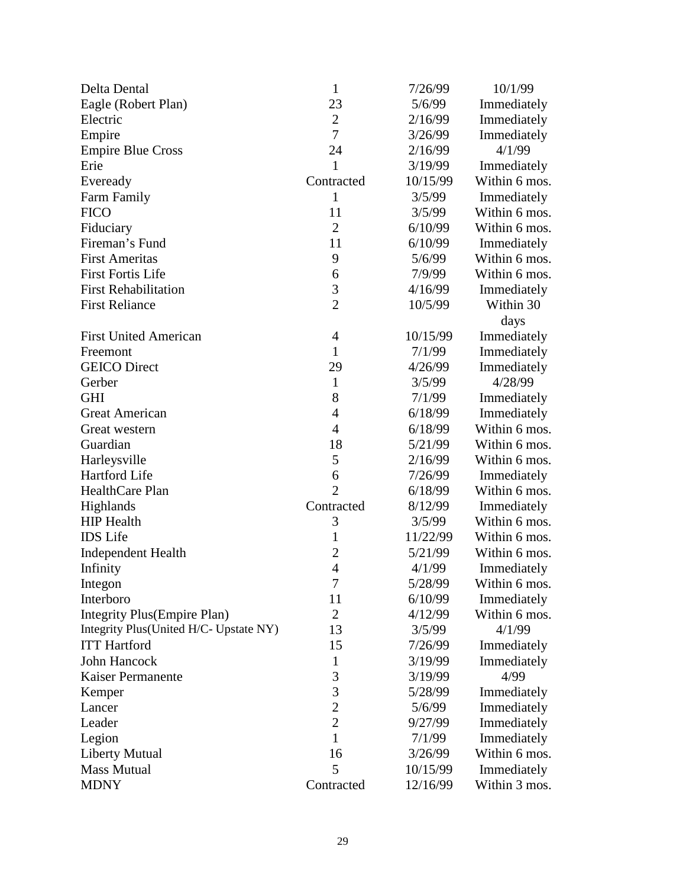| Delta Dental                           | $\mathbf{1}$   | 7/26/99  | 10/1/99       |
|----------------------------------------|----------------|----------|---------------|
| Eagle (Robert Plan)                    | 23             | 5/6/99   | Immediately   |
| Electric                               | $\overline{2}$ | 2/16/99  | Immediately   |
| Empire                                 | 7              | 3/26/99  | Immediately   |
| <b>Empire Blue Cross</b>               | 24             | 2/16/99  | 4/1/99        |
| Erie                                   | $\mathbf{1}$   | 3/19/99  | Immediately   |
| Eveready                               | Contracted     | 10/15/99 | Within 6 mos. |
| Farm Family                            | $\mathbf{1}$   | 3/5/99   | Immediately   |
| <b>FICO</b>                            | 11             | 3/5/99   | Within 6 mos. |
| Fiduciary                              | $\overline{2}$ | 6/10/99  | Within 6 mos. |
| Fireman's Fund                         | 11             | 6/10/99  | Immediately   |
| <b>First Ameritas</b>                  | 9              | 5/6/99   | Within 6 mos. |
| <b>First Fortis Life</b>               | 6              | 7/9/99   | Within 6 mos. |
| <b>First Rehabilitation</b>            | 3              | 4/16/99  | Immediately   |
| <b>First Reliance</b>                  | $\overline{2}$ | 10/5/99  | Within 30     |
|                                        |                |          | days          |
| <b>First United American</b>           | $\overline{4}$ | 10/15/99 | Immediately   |
| Freemont                               | $\mathbf{1}$   | 7/1/99   | Immediately   |
| <b>GEICO</b> Direct                    | 29             | 4/26/99  | Immediately   |
| Gerber                                 | $\mathbf{1}$   | 3/5/99   | 4/28/99       |
| <b>GHI</b>                             | 8              | 7/1/99   | Immediately   |
| <b>Great American</b>                  | $\overline{4}$ | 6/18/99  | Immediately   |
| Great western                          | $\overline{4}$ | 6/18/99  | Within 6 mos. |
| Guardian                               | 18             | 5/21/99  | Within 6 mos. |
| Harleysville                           | 5              | 2/16/99  | Within 6 mos. |
| Hartford Life                          | 6              | 7/26/99  | Immediately   |
| HealthCare Plan                        | $\overline{2}$ | 6/18/99  | Within 6 mos. |
| Highlands                              | Contracted     | 8/12/99  | Immediately   |
| <b>HIP</b> Health                      | 3              | 3/5/99   | Within 6 mos. |
| <b>IDS</b> Life                        | $\mathbf{1}$   | 11/22/99 | Within 6 mos. |
| <b>Independent Health</b>              | $\overline{c}$ | 5/21/99  | Within 6 mos. |
| Infinity                               | $\overline{4}$ | 4/1/99   | Immediately   |
| Integon                                | 7              | 5/28/99  | Within 6 mos. |
| Interboro                              | 11             | 6/10/99  | Immediately   |
| Integrity Plus (Empire Plan)           | $\overline{2}$ | 4/12/99  | Within 6 mos. |
| Integrity Plus(United H/C- Upstate NY) | 13             | 3/5/99   | 4/1/99        |
| <b>ITT</b> Hartford                    | 15             | 7/26/99  | Immediately   |
| John Hancock                           | $\mathbf{1}$   | 3/19/99  | Immediately   |
| Kaiser Permanente                      | 3              | 3/19/99  | 4/99          |
| Kemper                                 | 3              | 5/28/99  | Immediately   |
| Lancer                                 | $\overline{2}$ | 5/6/99   | Immediately   |
| Leader                                 | $\overline{c}$ | 9/27/99  | Immediately   |
| Legion                                 | $\mathbf{1}$   | 7/1/99   | Immediately   |
| <b>Liberty Mutual</b>                  | 16             | 3/26/99  | Within 6 mos. |
| <b>Mass Mutual</b>                     | 5              | 10/15/99 | Immediately   |
| <b>MDNY</b>                            | Contracted     | 12/16/99 | Within 3 mos. |
|                                        |                |          |               |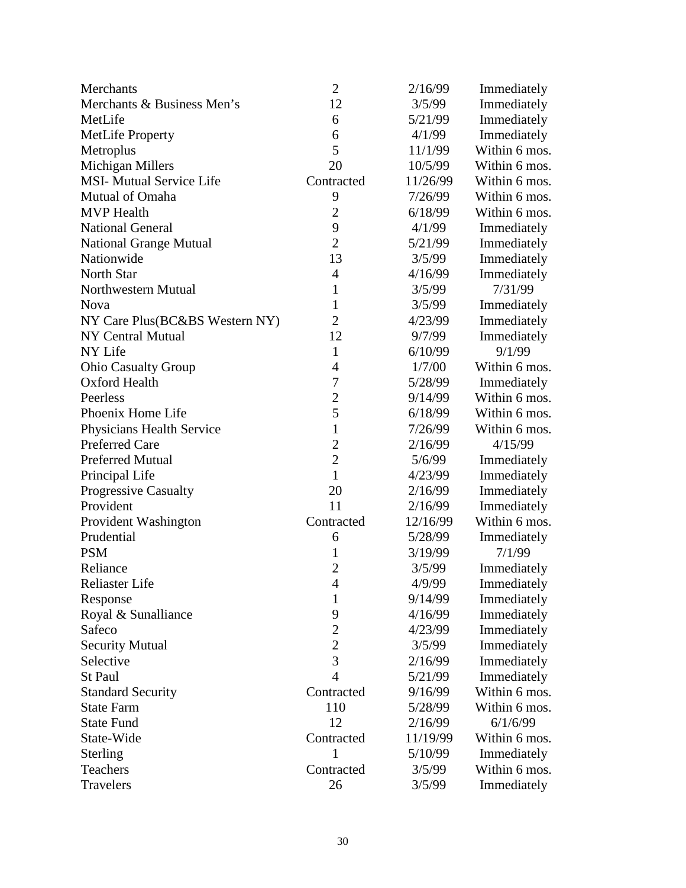| Merchants                       | $\overline{2}$ | 2/16/99  | Immediately   |
|---------------------------------|----------------|----------|---------------|
| Merchants & Business Men's      | 12             | 3/5/99   | Immediately   |
| MetLife                         | 6              | 5/21/99  | Immediately   |
| <b>MetLife Property</b>         | 6              | 4/1/99   | Immediately   |
| Metroplus                       | 5              | 11/1/99  | Within 6 mos. |
| Michigan Millers                | 20             | 10/5/99  | Within 6 mos. |
| <b>MSI- Mutual Service Life</b> | Contracted     | 11/26/99 | Within 6 mos. |
| Mutual of Omaha                 | 9              | 7/26/99  | Within 6 mos. |
| <b>MVP</b> Health               | $\overline{2}$ | 6/18/99  | Within 6 mos. |
| <b>National General</b>         | 9              | 4/1/99   | Immediately   |
| <b>National Grange Mutual</b>   | $\overline{2}$ | 5/21/99  | Immediately   |
| Nationwide                      | 13             | 3/5/99   | Immediately   |
| North Star                      | $\overline{4}$ | 4/16/99  | Immediately   |
| Northwestern Mutual             | 1              | 3/5/99   | 7/31/99       |
| <b>Nova</b>                     | 1              | 3/5/99   | Immediately   |
| NY Care Plus(BC&BS Western NY)  | $\overline{2}$ | 4/23/99  | Immediately   |
| NY Central Mutual               | 12             | 9/7/99   | Immediately   |
| NY Life                         | $\mathbf{1}$   | 6/10/99  | 9/1/99        |
| <b>Ohio Casualty Group</b>      | $\overline{4}$ | 1/7/00   | Within 6 mos. |
| Oxford Health                   | 7              | 5/28/99  | Immediately   |
| Peerless                        | $\overline{c}$ | 9/14/99  | Within 6 mos. |
| Phoenix Home Life               | 5              | 6/18/99  | Within 6 mos. |
| Physicians Health Service       | $\mathbf{1}$   | 7/26/99  | Within 6 mos. |
| <b>Preferred Care</b>           | $\overline{2}$ | 2/16/99  | 4/15/99       |
| <b>Preferred Mutual</b>         | $\overline{2}$ | 5/6/99   | Immediately   |
| Principal Life                  | $\mathbf{1}$   | 4/23/99  | Immediately   |
| Progressive Casualty            | 20             | 2/16/99  | Immediately   |
| Provident                       | 11             | 2/16/99  | Immediately   |
| Provident Washington            | Contracted     | 12/16/99 | Within 6 mos. |
| Prudential                      | 6              | 5/28/99  | Immediately   |
| <b>PSM</b>                      | $\mathbf{1}$   | 3/19/99  | 7/1/99        |
| Reliance                        | $\overline{2}$ | 3/5/99   | Immediately   |
| <b>Reliaster Life</b>           | $\overline{4}$ | 4/9/99   | Immediately   |
| Response                        | 1              | 9/14/99  | Immediately   |
| Royal & Sunalliance             | 9              | 4/16/99  | Immediately   |
| Safeco                          | $\overline{c}$ | 4/23/99  | Immediately   |
| <b>Security Mutual</b>          | $\overline{2}$ | 3/5/99   | Immediately   |
| Selective                       | 3              | 2/16/99  | Immediately   |
| St Paul                         | $\overline{4}$ | 5/21/99  | Immediately   |
| <b>Standard Security</b>        | Contracted     | 9/16/99  | Within 6 mos. |
| <b>State Farm</b>               | 110            | 5/28/99  | Within 6 mos. |
| <b>State Fund</b>               | 12             | 2/16/99  | 6/1/6/99      |
| State-Wide                      | Contracted     | 11/19/99 | Within 6 mos. |
| Sterling                        | 1              | 5/10/99  | Immediately   |
| Teachers                        | Contracted     | 3/5/99   | Within 6 mos. |
| Travelers                       | 26             | 3/5/99   | Immediately   |
|                                 |                |          |               |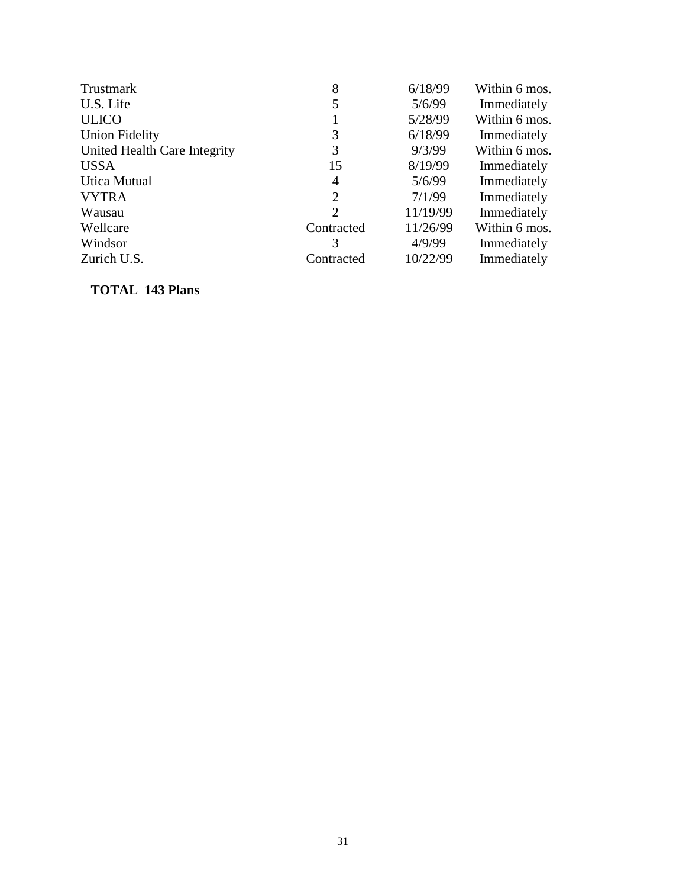| Trustmark                    | 8          | 6/18/99  | Within 6 mos. |
|------------------------------|------------|----------|---------------|
| U.S. Life                    | 5          | 5/6/99   | Immediately   |
| <b>ULICO</b>                 |            | 5/28/99  | Within 6 mos. |
| <b>Union Fidelity</b>        | 3          | 6/18/99  | Immediately   |
| United Health Care Integrity | 3          | 9/3/99   | Within 6 mos. |
| <b>USSA</b>                  | 15         | 8/19/99  | Immediately   |
| <b>Utica Mutual</b>          | 4          | 5/6/99   | Immediately   |
| <b>VYTRA</b>                 | 2          | 7/1/99   | Immediately   |
| Wausau                       | 2          | 11/19/99 | Immediately   |
| Wellcare                     | Contracted | 11/26/99 | Within 6 mos. |
| Windsor                      | 3          | 4/9/99   | Immediately   |
| Zurich U.S.                  | Contracted | 10/22/99 | Immediately   |

## **TOTAL 143 Plans**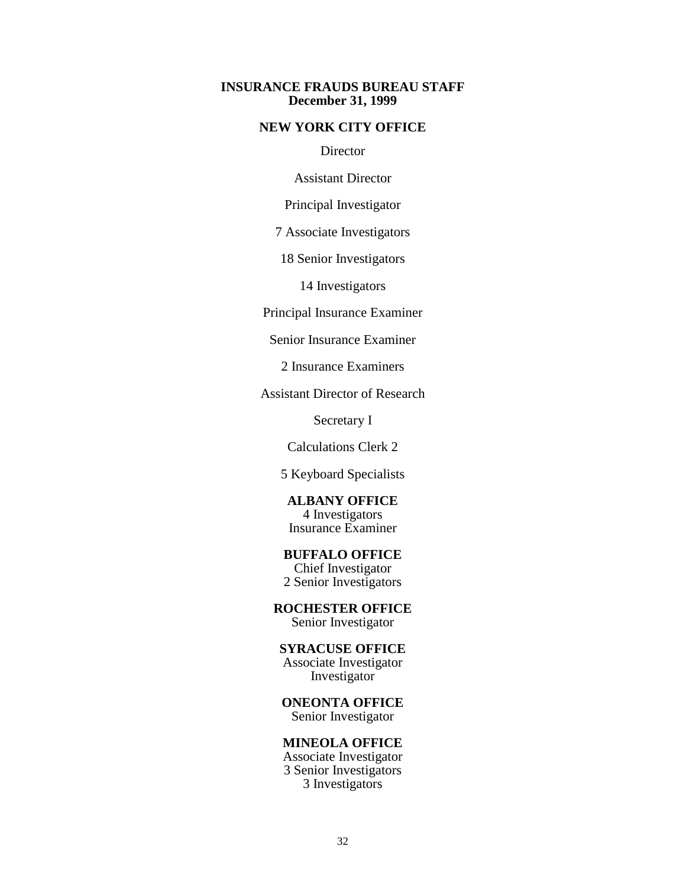#### **INSURANCE FRAUDS BUREAU STAFF December 31, 1999**

#### **NEW YORK CITY OFFICE**

**Director** 

Assistant Director

Principal Investigator

7 Associate Investigators

18 Senior Investigators

14 Investigators

Principal Insurance Examiner

Senior Insurance Examiner

2 Insurance Examiners

Assistant Director of Research

Secretary I

Calculations Clerk 2

5 Keyboard Specialists

**ALBANY OFFICE**  4 Investigators Insurance Examiner

**BUFFALO OFFICE**  Chief Investigator

2 Senior Investigators

**ROCHESTER OFFICE** 

Senior Investigator

**SYRACUSE OFFICE** 

Associate Investigator Investigator

**ONEONTA OFFICE**  Senior Investigator

**MINEOLA OFFICE** 

Associate Investigator 3 Senior Investigators 3 Investigators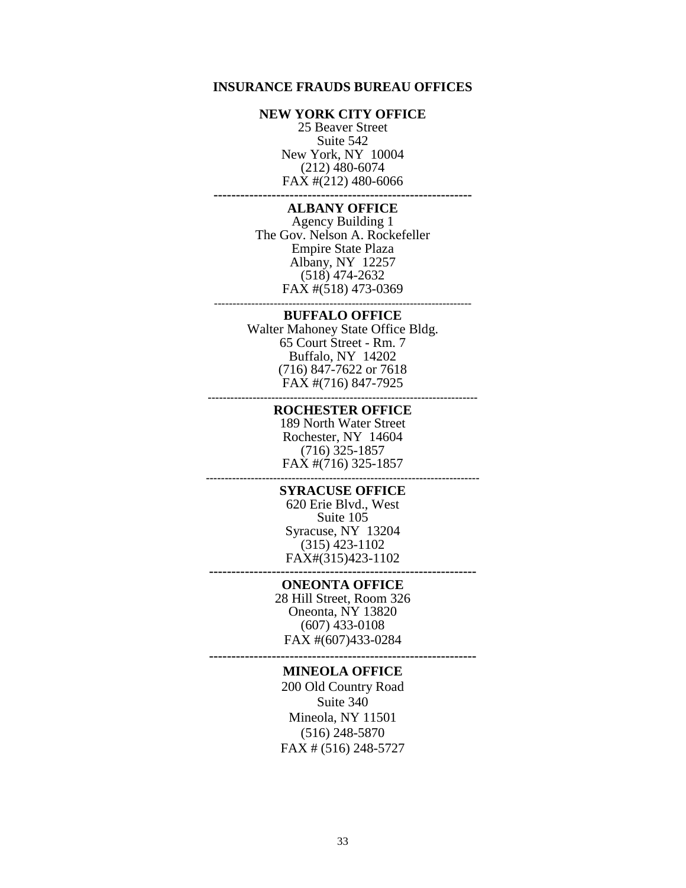#### **INSURANCE FRAUDS BUREAU OFFICES**

#### **NEW YORK CITY OFFICE**

25 Beaver Street Suite 542 New York, NY 10004 (212) 480-6074 FAX #(212) 480-6066

**----------------------------------------------------------**

#### **ALBANY OFFICE**

---------------------------------------------------------------------- Agency Building 1 The Gov. Nelson A. Rockefeller Empire State Plaza Albany, NY 12257 (518) 474-2632 FAX #(518) 473-0369

#### **BUFFALO OFFICE**

Walter Mahoney State Office Bldg. 65 Court Street - Rm. 7 Buffalo, NY 14202 (716) 847-7622 or 7618 FAX #(716) 847-7925

**------------------------------------------------------------------------**

#### **ROCHESTER OFFICE**

**-------------------------------------------------------------------------** 189 North Water Street Rochester, NY 14604 (716) 325-1857 FAX #(716) 325-1857

#### **SYRACUSE OFFICE**

620 Erie Blvd., West Suite 105 Syracuse, NY 13204 (315) 423-1102 FAX#(315)423-1102

#### **------------------------------------------------------------**

**ONEONTA OFFICE**  28 Hill Street, Room 326 Oneonta, NY 13820 (607) 433-0108 FAX #(607)433-0284

**------------------------------------------------------------**

#### **MINEOLA OFFICE**

200 Old Country Road Suite 340 Mineola, NY 11501 (516) 248-5870 FAX # (516) 248-5727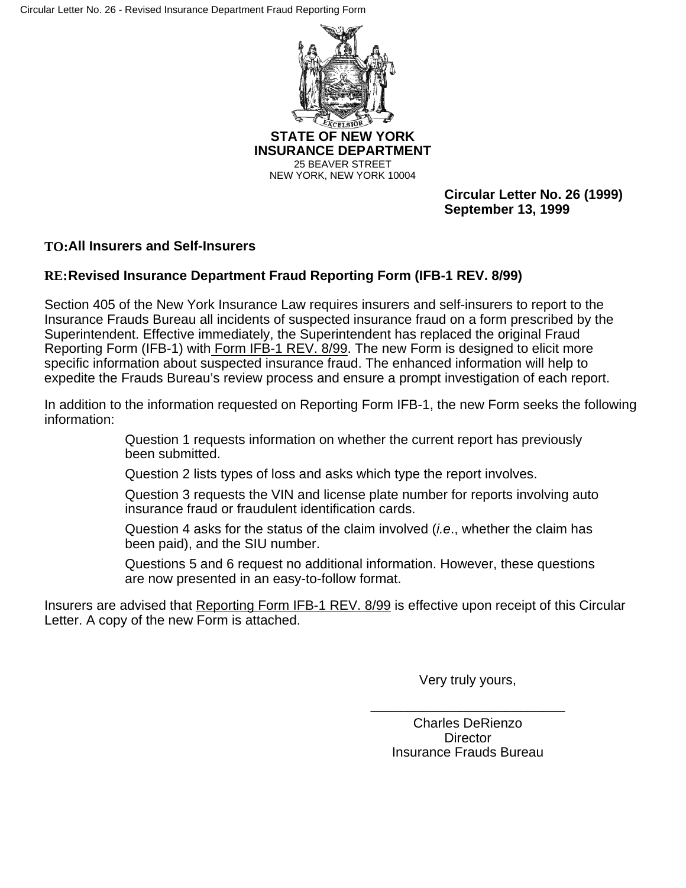

**INSURANCE DEPARTMENT**  25 BEAVER STREET NEW YORK, NEW YORK 10004

> **Circular Letter No. 26 (1999) September 13, 1999**

## **TO:All Insurers and Self-Insurers**

## **RE:Revised Insurance Department Fraud Reporting Form (IFB-1 REV. 8/99)**

Section 405 of the New York Insurance Law requires insurers and self-insurers to report to the Insurance Frauds Bureau all incidents of suspected insurance fraud on a form prescribed by the Superintendent. Effective immediately, the Superintendent has replaced the original Fraud Reporting Form (IFB-1) with Form IFB-1 REV. 8/99. The new Form is designed to elicit more specific information about suspected insurance fraud. The enhanced information will help to expedite the Frauds Bureau's review process and ensure a prompt investigation of each report.

In addition to the information requested on Reporting Form IFB-1, the new Form seeks the following information:

> Question 1 requests information on whether the current report has previously been submitted.

Question 2 lists types of loss and asks which type the report involves.

Question 3 requests the VIN and license plate number for reports involving auto insurance fraud or fraudulent identification cards.

Question 4 asks for the status of the claim involved (*i.e*., whether the claim has been paid), and the SIU number.

Questions 5 and 6 request no additional information. However, these questions are now presented in an easy-to-follow format.

Insurers are advised that Reporting Form IFB-1 REV. 8/99 is effective upon receipt of this Circular Letter. A copy of the new Form is attached.

Very truly yours,

\_\_\_\_\_\_\_\_\_\_\_\_\_\_\_\_\_\_\_\_\_\_\_\_\_\_

Charles DeRienzo **Director** Insurance Frauds Bureau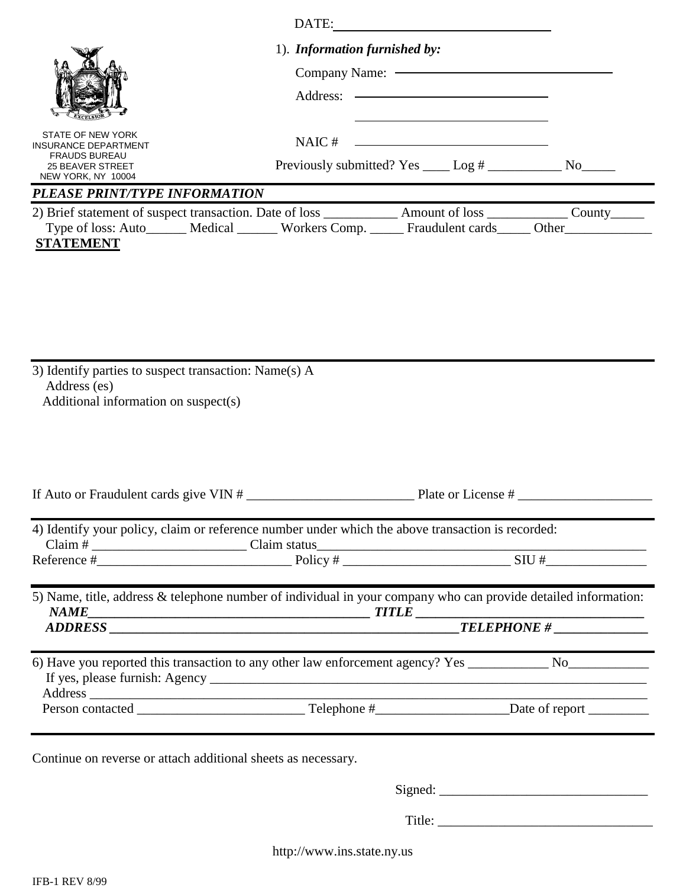|                                                                                                                                                                                                                                                                                                                                                                                                                                                                                                                                                                                                                                                                 | 1). Information furnished by:                                |                                                   |  |  |
|-----------------------------------------------------------------------------------------------------------------------------------------------------------------------------------------------------------------------------------------------------------------------------------------------------------------------------------------------------------------------------------------------------------------------------------------------------------------------------------------------------------------------------------------------------------------------------------------------------------------------------------------------------------------|--------------------------------------------------------------|---------------------------------------------------|--|--|
|                                                                                                                                                                                                                                                                                                                                                                                                                                                                                                                                                                                                                                                                 |                                                              | Company Name: <a></a>                             |  |  |
|                                                                                                                                                                                                                                                                                                                                                                                                                                                                                                                                                                                                                                                                 | Address: ————————————————————                                |                                                   |  |  |
| STATE OF NEW YORK<br><b>INSURANCE DEPARTMENT</b><br><b>FRAUDS BUREAU</b>                                                                                                                                                                                                                                                                                                                                                                                                                                                                                                                                                                                        | NAIC#                                                        | <u> 1989 - Johann Barnett, fransk politiker (</u> |  |  |
| <b>25 BEAVER STREET</b><br>NEW YORK, NY 10004                                                                                                                                                                                                                                                                                                                                                                                                                                                                                                                                                                                                                   | Previously submitted? Yes ____ Log # ______________ No______ |                                                   |  |  |
| PLEASE PRINT/TYPE INFORMATION                                                                                                                                                                                                                                                                                                                                                                                                                                                                                                                                                                                                                                   |                                                              |                                                   |  |  |
| 2) Brief statement of suspect transaction. Date of loss _____________ Amount of loss ___________ County______<br>Type of loss: Auto______ Medical ______ Workers Comp. _____ Fraudulent cards_____ Other_____________<br><b>STATEMENT</b>                                                                                                                                                                                                                                                                                                                                                                                                                       |                                                              |                                                   |  |  |
| 3) Identify parties to suspect transaction: Name(s) A<br>Address (es)<br>Additional information on suspect(s)                                                                                                                                                                                                                                                                                                                                                                                                                                                                                                                                                   |                                                              |                                                   |  |  |
|                                                                                                                                                                                                                                                                                                                                                                                                                                                                                                                                                                                                                                                                 |                                                              |                                                   |  |  |
| 4) Identify your policy, claim or reference number under which the above transaction is recorded:                                                                                                                                                                                                                                                                                                                                                                                                                                                                                                                                                               |                                                              |                                                   |  |  |
| Claim # $\frac{1}{\text{Reference H} + \text{Reference H} + \text{Reference H} + \text{Frequency H} + \text{Polve H} + \text{Frequency H} + \text{Frequency H} + \text{Frequency H} + \text{Frequency H} + \text{Frequency H} + \text{Frequency H} + \text{Frequency H} + \text{Frequency H} + \text{Frequency H} + \text{Frequency H} + \text{Frequency H} + \text{Frequency H} + \text{Frequency H} + \text{Frequency H} + \text{Frequency H} + \text{Frequency H} + \text{Frequency H} + \text{Frequency H} + \text{Frequency H} + \text{Frequency H} + \text{Frequency H} + \text{Frequency H} + \text{Frequency H} + \text{Frequency H} + \text{Frequency$ |                                                              |                                                   |  |  |
| 5) Name, title, address & telephone number of individual in your company who can provide detailed information:                                                                                                                                                                                                                                                                                                                                                                                                                                                                                                                                                  |                                                              |                                                   |  |  |
|                                                                                                                                                                                                                                                                                                                                                                                                                                                                                                                                                                                                                                                                 |                                                              |                                                   |  |  |
| 6) Have you reported this transaction to any other law enforcement agency? Yes _____________ No______________                                                                                                                                                                                                                                                                                                                                                                                                                                                                                                                                                   |                                                              |                                                   |  |  |
|                                                                                                                                                                                                                                                                                                                                                                                                                                                                                                                                                                                                                                                                 |                                                              |                                                   |  |  |
| Continue on reverse or attach additional sheets as necessary.                                                                                                                                                                                                                                                                                                                                                                                                                                                                                                                                                                                                   |                                                              |                                                   |  |  |
|                                                                                                                                                                                                                                                                                                                                                                                                                                                                                                                                                                                                                                                                 |                                                              |                                                   |  |  |
|                                                                                                                                                                                                                                                                                                                                                                                                                                                                                                                                                                                                                                                                 |                                                              |                                                   |  |  |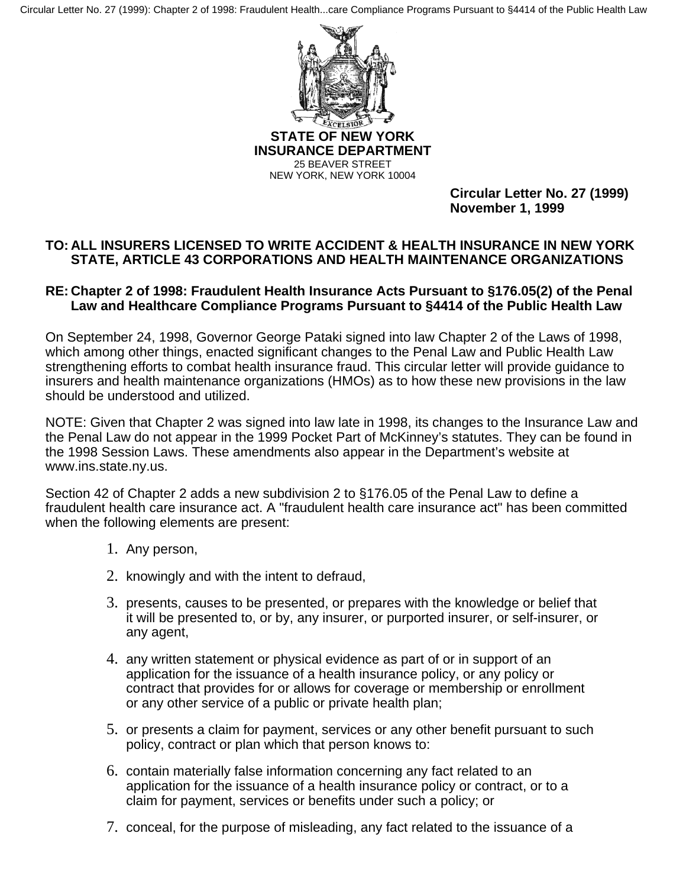Circular Letter No. 27 (1999): Chapter 2 of 1998: Fraudulent Health...care Compliance Programs Pursuant to §4414 of the Public Health Law



**STATE OF NEW YORK INSURANCE DEPARTMENT**  25 BEAVER STREET NEW YORK, NEW YORK 10004

> **Circular Letter No. 27 (1999) November 1, 1999**

## **TO: ALL INSURERS LICENSED TO WRITE ACCIDENT & HEALTH INSURANCE IN NEW YORK STATE, ARTICLE 43 CORPORATIONS AND HEALTH MAINTENANCE ORGANIZATIONS**

## **RE: Chapter 2 of 1998: Fraudulent Health Insurance Acts Pursuant to §176.05(2) of the Penal Law and Healthcare Compliance Programs Pursuant to §4414 of the Public Health Law**

On September 24, 1998, Governor George Pataki signed into law Chapter 2 of the Laws of 1998, which among other things, enacted significant changes to the Penal Law and Public Health Law strengthening efforts to combat health insurance fraud. This circular letter will provide guidance to insurers and health maintenance organizations (HMOs) as to how these new provisions in the law should be understood and utilized.

NOTE: Given that Chapter 2 was signed into law late in 1998, its changes to the Insurance Law and the Penal Law do not appear in the 1999 Pocket Part of McKinney's statutes. They can be found in the 1998 Session Laws. These amendments also appear in the Department's website at www.ins.state.ny.us.

Section 42 of Chapter 2 adds a new subdivision 2 to §176.05 of the Penal Law to define a fraudulent health care insurance act. A "fraudulent health care insurance act" has been committed when the following elements are present:

- 1. Any person,
- 2. knowingly and with the intent to defraud,
- 3. presents, causes to be presented, or prepares with the knowledge or belief that it will be presented to, or by, any insurer, or purported insurer, or self-insurer, or any agent,
- 4. any written statement or physical evidence as part of or in support of an application for the issuance of a health insurance policy, or any policy or contract that provides for or allows for coverage or membership or enrollment or any other service of a public or private health plan;
- 5. or presents a claim for payment, services or any other benefit pursuant to such policy, contract or plan which that person knows to:
- 6. contain materially false information concerning any fact related to an application for the issuance of a health insurance policy or contract, or to a claim for payment, services or benefits under such a policy; or
- 7. conceal, for the purpose of misleading, any fact related to the issuance of a